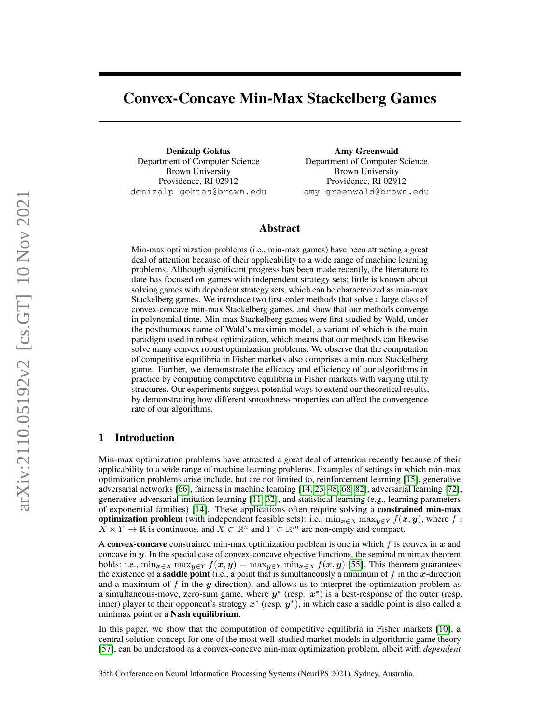# Convex-Concave Min-Max Stackelberg Games

Denizalp Goktas Department of Computer Science Brown University Providence, RI 02912 denizalp\_goktas@brown.edu

Amy Greenwald Department of Computer Science Brown University Providence, RI 02912 amy\_greenwald@brown.edu

## Abstract

Min-max optimization problems (i.e., min-max games) have been attracting a great deal of attention because of their applicability to a wide range of machine learning problems. Although significant progress has been made recently, the literature to date has focused on games with independent strategy sets; little is known about solving games with dependent strategy sets, which can be characterized as min-max Stackelberg games. We introduce two first-order methods that solve a large class of convex-concave min-max Stackelberg games, and show that our methods converge in polynomial time. Min-max Stackelberg games were first studied by Wald, under the posthumous name of Wald's maximin model, a variant of which is the main paradigm used in robust optimization, which means that our methods can likewise solve many convex robust optimization problems. We observe that the computation of competitive equilibria in Fisher markets also comprises a min-max Stackelberg game. Further, we demonstrate the efficacy and efficiency of our algorithms in practice by computing competitive equilibria in Fisher markets with varying utility structures. Our experiments suggest potential ways to extend our theoretical results, by demonstrating how different smoothness properties can affect the convergence rate of our algorithms.

## 1 Introduction

Min-max optimization problems have attracted a great deal of attention recently because of their applicability to a wide range of machine learning problems. Examples of settings in which min-max optimization problems arise include, but are not limited to, reinforcement learning [\[15\]](#page-9-0), generative adversarial networks [\[66\]](#page-12-0), fairness in machine learning [\[14,](#page-9-1) [23,](#page-10-0) [48,](#page-11-0) [68,](#page-12-1) [82\]](#page-12-2), adversarial learning [\[72\]](#page-12-3), generative adversarial imitation learning [\[11,](#page-9-2) [32\]](#page-10-1), and statistical learning (e.g., learning parameters of exponential families) [\[14\]](#page-9-1). These applications often require solving a constrained min-max **optimization problem** (with independent feasible sets): i.e.,  $\min_{x \in X} \max_{y \in Y} f(x, y)$ , where f:  $\overline{X} \times Y \to \mathbb{R}$  is continuous, and  $\overline{X} \subset \mathbb{R}^n$  and  $Y \subset \mathbb{R}^m$  are non-empty and compact.

A convex-concave constrained min-max optimization problem is one in which  $f$  is convex in  $x$  and concave in y. In the special case of convex-concave objective functions, the seminal minimax theorem holds: i.e.,  $\min_{\mathbf{x}\in X} \max_{\mathbf{y}\in Y} f(\mathbf{x}, \mathbf{y}) = \max_{\mathbf{y}\in Y} \min_{\mathbf{x}\in X} f(\mathbf{x}, \mathbf{y})$  [\[55\]](#page-11-1). This theorem guarantees the existence of a **saddle point** (i.e., a point that is simultaneously a minimum of f in the x-direction and a maximum of f in the y-direction), and allows us to interpret the optimization problem as a simultaneous-move, zero-sum game, where  $y^*$  (resp.  $x^*$ ) is a best-response of the outer (resp. inner) player to their opponent's strategy  $x^*$  (resp.  $y^*$ ), in which case a saddle point is also called a minimax point or a **Nash equilibrium**.

In this paper, we show that the computation of competitive equilibria in Fisher markets [\[10\]](#page-9-3), a central solution concept for one of the most well-studied market models in algorithmic game theory [\[57\]](#page-11-2), can be understood as a convex-concave min-max optimization problem, albeit with *dependent*

35th Conference on Neural Information Processing Systems (NeurIPS 2021), Sydney, Australia.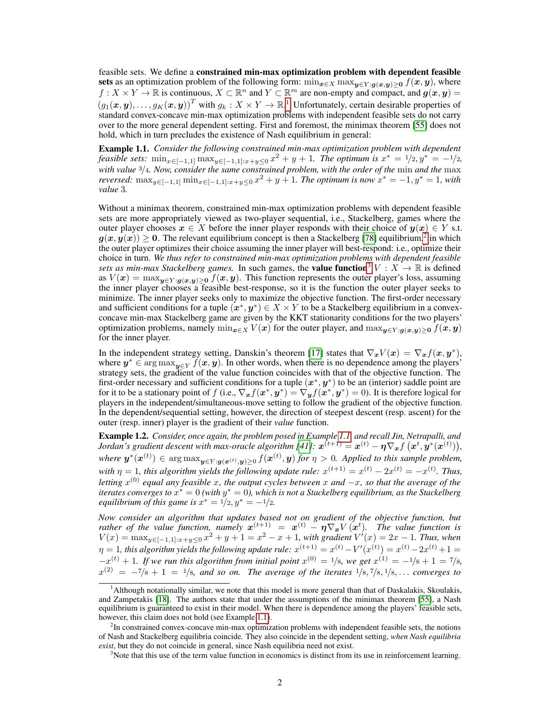feasible sets. We define a constrained min-max optimization problem with dependent feasible sets as an optimization problem of the following form:  $\min_{x \in X} \max_{y \in Y : g(x,y) \ge 0} f(x, y)$ , where  $f: X \times Y \to \mathbb{R}$  is continuous,  $X \subset \mathbb{R}^n$  and  $Y \subset \mathbb{R}^m$  are non-empty and compact, and  $g(x, y) =$  $(g_1(\bm{x},\bm{y}),\ldots,g_K(\bm{x},\bm{y}))^T$  $(g_1(\bm{x},\bm{y}),\ldots,g_K(\bm{x},\bm{y}))^T$  $(g_1(\bm{x},\bm{y}),\ldots,g_K(\bm{x},\bm{y}))^T$  with  $g_k:X\times Y\to\mathbb{R}$ .<sup>1</sup> Unfortunately, certain desirable properties of standard convex-concave min-max optimization problems with independent feasible sets do not carry over to the more general dependent setting. First and foremost, the minimax theorem [\[55\]](#page-11-1) does not hold, which in turn precludes the existence of Nash equilibrium in general:

<span id="page-1-3"></span>Example 1.1. *Consider the following constrained min-max optimization problem with dependent feasible sets:*  $\min_{x \in [-1,1]} \max_{y \in [-1,1]: x+y \leq 0} x^2 + y + 1$ . The optimum is  $x^* = 1/2, y^* = -1/2$ , *with value* <sup>3</sup>/4*. Now, consider the same constrained problem, with the order of the* min *and the* max *reversed:*  $\max_{y \in [-1,1]} \min_{x \in [-1,1]: x+y \leq 0} x^2 + y + 1$ . The optimum is now  $x^* = -1, y^* = 1$ , with *value* 3*.*

Without a minimax theorem, constrained min-max optimization problems with dependent feasible sets are more appropriately viewed as two-player sequential, i.e., Stackelberg, games where the outer player chooses  $x \in X$  before the inner player responds with their choice of  $y(x) \in Y$  s.t.  $g(x,y(x)) \geq 0.$  The relevant equilibrium concept is then a Stackelberg [\[78\]](#page-12-4) equilibrium, $^2$  $^2$  in which the outer player optimizes their choice assuming the inner player will best-respond: i.e., optimize their choice in turn. *We thus refer to constrained min-max optimization problems with dependent feasible sets as min-max Stackelberg games.* In such games, the **value function**<sup>[3](#page-1-2)</sup>  $V: X \to \mathbb{R}$  is defined as  $V(x) = \max_{y \in Y : g(x,y) > 0} f(x, y)$ . This function represents the outer player's loss, assuming the inner player chooses a feasible best-response, so it is the function the outer player seeks to minimize. The inner player seeks only to maximize the objective function. The first-order necessary and sufficient conditions for a tuple  $(x^*, y^*) \in X \times Y$  to be a Stackelberg equilibrium in a convexconcave min-max Stackelberg game are given by the KKT stationarity conditions for the two players' optimization problems, namely  $\min_{x \in X} V(x)$  for the outer player, and  $\max_{y \in Y : g(x,y) > 0} f(x, y)$ for the inner player.

In the independent strategy setting, Danskin's theorem [\[17\]](#page-9-4) states that  $\nabla_x V(x) = \nabla_x f(x, y^*)$ , where  $y^* \in \arg \max_{y \in Y} f(x, y)$ . In other words, when there is no dependence among the players' strategy sets, the gradient of the value function coincides with that of the objective function. The first-order necessary and sufficient conditions for a tuple  $(x^*, y^*)$  to be an (interior) saddle point are for it to be a stationary point of f (i.e.,  $\nabla_x f(x^*, y^*) = \nabla_y f(x^*, y^*) = 0$ ). It is therefore logical for players in the independent/simultaneous-move setting to follow the gradient of the objective function. In the dependent/sequential setting, however, the direction of steepest descent (resp. ascent) for the outer (resp. inner) player is the gradient of their *value* function.

Example 1.2. *Consider, once again, the problem posed in Example [1.1,](#page-1-3) and recall Jin, Netrapalli, and*  $Jordan's gradient descent with max-oracle algorithm [41]: \ \pmb{x}^{(t+1)} = \pmb{x}^{(t)} - \pmb{\eta} \nabla_{\pmb{x}} f\left(\pmb{x}^t, \pmb{y}^*(\pmb{x}^{(t)})\right)\!,$  $Jordan's gradient descent with max-oracle algorithm [41]: \ \pmb{x}^{(t+1)} = \pmb{x}^{(t)} - \pmb{\eta} \nabla_{\pmb{x}} f\left(\pmb{x}^t, \pmb{y}^*(\pmb{x}^{(t)})\right)\!,$  $Jordan's gradient descent with max-oracle algorithm [41]: \ \pmb{x}^{(t+1)} = \pmb{x}^{(t)} - \pmb{\eta} \nabla_{\pmb{x}} f\left(\pmb{x}^t, \pmb{y}^*(\pmb{x}^{(t)})\right)\!,$ where  $y^*(x^{(t)}) \in \arg\max_{y \in Y : g(x^{(t)}, y) \geq 0} f(x^{(t)}, y)$  for  $\eta > 0$ . Applied to this sample problem, with  $\eta = 1$ , this algorithm yields the following update rule:  $x^{(t+1)} = x^{(t)} - 2x^{(t)} = -x^{(t)}$ . Thus, *letting* x (0) *equal any feasible* x*, the output cycles between* x *and* −x*, so that the average of the*  $i$ terates converges to  $x^* = 0$  (with  $y^* = 0$ ), which is not a Stackelberg equilibrium, as the Stackelberg *equilibrium of this game is*  $x^* = 1/2, y^* = -1/2$ *.* 

*Now consider an algorithm that updates based not on gradient of the objective function, but rather of the value function, namely*  $x^{(t+1)} = x^{(t)} - \eta \nabla_x V(x^t)$ *. The value function is*  $V(x) = \max_{y \in [-1,1]: x+y \le 0} x^2 + y + 1 = x^2 - x + 1$ , with gradient  $V'(x) = 2x - 1$ . Thus, when  $\eta = 1$ , this algorithm yields the following update rule:  $x^{(t+1)} = x^{(t)} - V'(x^{(t)}) = x^{(t)} - 2x^{(t)} + 1 = 0$  $-x^{(t)} + 1$ . If we run this algorithm from initial point  $x^{(0)} = 1/8$ , we get  $x^{(1)} = -1/8 + 1 = 7/8$ ,  $x^{(2)} = -7/8 + 1 = 1/8$ , and so on. The average of the iterates  $1/8, 7/8, 1/8, \ldots$  converges to

<span id="page-1-0"></span><sup>1</sup>Although notationally similar, we note that this model is more general than that of Daskalakis, Skoulakis, and Zampetakis [\[18\]](#page-9-5). The authors state that under the assumptions of the minimax theorem [\[55\]](#page-11-1), a Nash equilibrium is guaranteed to exist in their model. When there is dependence among the players' feasible sets, however, this claim does not hold (see Example [1.1\)](#page-1-3).

<span id="page-1-1"></span><sup>&</sup>lt;sup>2</sup>In constrained convex-concave min-max optimization problems with independent feasible sets, the notions of Nash and Stackelberg equilibria coincide. They also coincide in the dependent setting, *when Nash equilibria exist*, but they do not coincide in general, since Nash equilibria need not exist.

<span id="page-1-2"></span><sup>&</sup>lt;sup>3</sup>Note that this use of the term value function in economics is distinct from its use in reinforcement learning.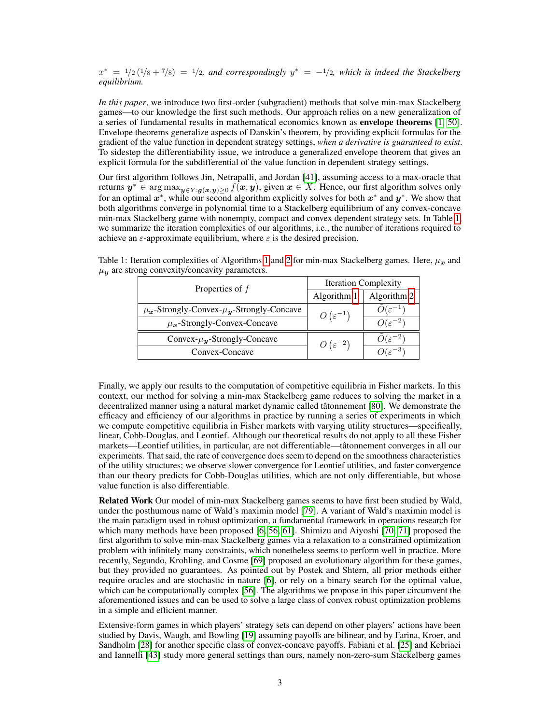$x^* = 1/2(1/8 + 7/8) = 1/2$ , and correspondingly  $y^* = -1/2$ , which is indeed the Stackelberg *equilibrium.*

*In this paper*, we introduce two first-order (subgradient) methods that solve min-max Stackelberg games—to our knowledge the first such methods. Our approach relies on a new generalization of a series of fundamental results in mathematical economics known as envelope theorems [\[1,](#page-9-6) [50\]](#page-11-3). Envelope theorems generalize aspects of Danskin's theorem, by providing explicit formulas for the gradient of the value function in dependent strategy settings, *when a derivative is guaranteed to exist*. To sidestep the differentiability issue, we introduce a generalized envelope theorem that gives an explicit formula for the subdifferential of the value function in dependent strategy settings.

Our first algorithm follows Jin, Netrapalli, and Jordan [\[41\]](#page-10-2), assuming access to a max-oracle that returns  $y^* \in \arg \max_{y \in Y : g(x,y) \ge 0} f(x, y)$ , given  $x \in X$ . Hence, our first algorithm solves only for an optimal  $x^*$ , while our second algorithm explicitly solves for both  $x^*$  and  $y^*$ . We show that both algorithms converge in polynomial time to a Stackelberg equilibrium of any convex-concave min-max Stackelberg game with nonempty, compact and convex dependent strategy sets. In Table [1,](#page-2-0) we summarize the iteration complexities of our algorithms, i.e., the number of iterations required to achieve an  $\varepsilon$ -approximate equilibrium, where  $\varepsilon$  is the desired precision.

| Properties of $f$                                       | <b>Iteration Complexity</b> |                       |
|---------------------------------------------------------|-----------------------------|-----------------------|
|                                                         | Algorithm 1                 | Algorithm 2           |
| $\mu_{x}$ -Strongly-Convex- $\mu_{y}$ -Strongly-Concave | $O(\varepsilon^{-1})$       | $U(\varepsilon^{-1})$ |
| $\mu_{x}$ -Strongly-Convex-Concave                      |                             | $O(\varepsilon^{-2})$ |
| Convex- $\mu_{\boldsymbol{y}}$ -Strongly-Concave        | $O(\varepsilon^{-2})$       |                       |
| Convex-Concave                                          |                             |                       |

<span id="page-2-0"></span>Table [1](#page-5-0): Iteration complexities of Algorithms 1 and [2](#page-16-0) for min-max Stackelberg games. Here,  $\mu_x$  and  $\mu_{\mathbf{y}}$  are strong convexity/concavity parameters.

Finally, we apply our results to the computation of competitive equilibria in Fisher markets. In this context, our method for solving a min-max Stackelberg game reduces to solving the market in a decentralized manner using a natural market dynamic called tâtonnement [\[80\]](#page-12-5). We demonstrate the efficacy and efficiency of our algorithms in practice by running a series of experiments in which we compute competitive equilibria in Fisher markets with varying utility structures—specifically, linear, Cobb-Douglas, and Leontief. Although our theoretical results do not apply to all these Fisher markets—Leontief utilities, in particular, are not differentiable—tâtonnement converges in all our experiments. That said, the rate of convergence does seem to depend on the smoothness characteristics of the utility structures; we observe slower convergence for Leontief utilities, and faster convergence than our theory predicts for Cobb-Douglas utilities, which are not only differentiable, but whose value function is also differentiable.

Related Work Our model of min-max Stackelberg games seems to have first been studied by Wald, under the posthumous name of Wald's maximin model [\[79\]](#page-12-6). A variant of Wald's maximin model is the main paradigm used in robust optimization, a fundamental framework in operations research for which many methods have been proposed [\[6,](#page-9-7) [56,](#page-11-4) [61\]](#page-11-5). Shimizu and Aiyoshi [\[70,](#page-12-7) [71\]](#page-12-8) proposed the first algorithm to solve min-max Stackelberg games via a relaxation to a constrained optimization problem with infinitely many constraints, which nonetheless seems to perform well in practice. More recently, Segundo, Krohling, and Cosme [\[69\]](#page-12-9) proposed an evolutionary algorithm for these games, but they provided no guarantees. As pointed out by Postek and Shtern, all prior methods either require oracles and are stochastic in nature [\[6\]](#page-9-7), or rely on a binary search for the optimal value, which can be computationally complex [\[56\]](#page-11-4). The algorithms we propose in this paper circumvent the aforementioned issues and can be used to solve a large class of convex robust optimization problems in a simple and efficient manner.

Extensive-form games in which players' strategy sets can depend on other players' actions have been studied by Davis, Waugh, and Bowling [\[19\]](#page-10-3) assuming payoffs are bilinear, and by Farina, Kroer, and Sandholm [\[28\]](#page-10-4) for another specific class of convex-concave payoffs. Fabiani et al. [\[25\]](#page-10-5) and Kebriaei and Iannelli [\[43\]](#page-11-6) study more general settings than ours, namely non-zero-sum Stackelberg games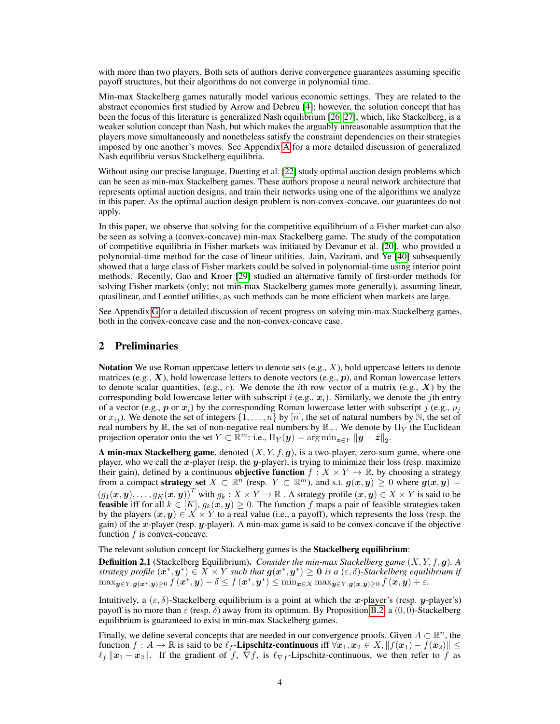with more than two players. Both sets of authors derive convergence guarantees assuming specific payoff structures, but their algorithms do not converge in polynomial time.

Min-max Stackelberg games naturally model various economic settings. They are related to the abstract economies first studied by Arrow and Debreu [\[4\]](#page-9-8); however, the solution concept that has been the focus of this literature is generalized Nash equilibrium [\[26,](#page-10-6) [27\]](#page-10-7), which, like Stackelberg, is a weaker solution concept than Nash, but which makes the arguably unreasonable assumption that the players move simultaneously and nonetheless satisfy the constraint dependencies on their strategies imposed by one another's moves. See Appendix [A](#page-13-0) for a more detailed discussion of generalized Nash equilibria versus Stackelberg equilibria.

Without using our precise language, Duetting et al. [\[22\]](#page-10-8) study optimal auction design problems which can be seen as min-max Stackelberg games. These authors propose a neural network architecture that represents optimal auction designs, and train their networks using one of the algorithms we analyze in this paper. As the optimal auction design problem is non-convex-concave, our guarantees do not apply.

In this paper, we observe that solving for the competitive equilibrium of a Fisher market can also be seen as solving a (convex-concave) min-max Stackelberg game. The study of the computation of competitive equilibria in Fisher markets was initiated by Devanur et al. [\[20\]](#page-10-9), who provided a polynomial-time method for the case of linear utilities. Jain, Vazirani, and Ye [\[40\]](#page-10-10) subsequently showed that a large class of Fisher markets could be solved in polynomial-time using interior point methods. Recently, Gao and Kroer [\[29\]](#page-10-11) studied an alternative family of first-order methods for solving Fisher markets (only; not min-max Stackelberg games more generally), assuming linear, quasilinear, and Leontief utilities, as such methods can be more efficient when markets are large.

See Appendix [G](#page-22-0) for a detailed discussion of recent progress on solving min-max Stackelberg games, both in the convex-concave case and the non-convex-concave case.

# <span id="page-3-0"></span>2 Preliminaries

**Notation** We use Roman uppercase letters to denote sets  $(e.g., X)$ , bold uppercase letters to denote matrices (e.g.,  $X$ ), bold lowercase letters to denote vectors (e.g.,  $p$ ), and Roman lowercase letters to denote scalar quantities, (e.g., c). We denote the *i*th row vector of a matrix (e.g.,  $X$ ) by the corresponding bold lowercase letter with subscript i (e.g.,  $x_i$ ). Similarly, we denote the jth entry of a vector (e.g., p or  $x_i$ ) by the corresponding Roman lowercase letter with subscript j (e.g.,  $p_i$ ) or  $x_{ij}$ ). We denote the set of integers  $\{1, \ldots, n\}$  by [n], the set of natural numbers by N, the set of real numbers by  $\mathbb R$ , the set of non-negative real numbers by  $\mathbb R_+$ . We denote by  $\Pi_Y$  the Euclidean projection operator onto the set  $Y \subset \mathbb{R}^m$ : i.e.,  $\Pi_Y(y) = \arg \min_{\mathbf{z} \in Y} ||y - z||_2$ .

A min-max Stackelberg game, denoted  $(X, Y, f, g)$ , is a two-player, zero-sum game, where one player, who we call the  $x$ -player (resp. the  $y$ -player), is trying to minimize their loss (resp. maximize their gain), defined by a continuous **objective function**  $f : X \times Y \to \mathbb{R}$ , by choosing a strategy from a compact strategy set  $X \subset \mathbb{R}^n$  (resp.  $Y \subset \mathbb{R}^m$ ), and s.t.  $g(x, y) \geq 0$  where  $g(x, y) =$  $(g_1(\bm{x}, \bm{y}), \ldots, g_K(\bm{x}, \bm{y}))^T$  with  $g_k : X \times Y \to \mathbb{R}$ . A strategy profile  $(\bm{x}, \bm{y}) \in X \times Y$  is said to be **feasible** iff for all  $k \in [K]$ ,  $g_k(x, y) \ge 0$ . The function f maps a pair of feasible strategies taken by the players  $(x, y) \in X \times Y$  to a real value (i.e., a payoff), which represents the loss (resp. the gain) of the x-player (resp. y-player). A min-max game is said to be convex-concave if the objective function  $f$  is convex-concave.

The relevant solution concept for Stackelberg games is the Stackelberg equilibrium:

Definition 2.1 (Stackelberg Equilibrium). *Consider the min-max Stackelberg game* (X, Y, f, g)*. A strategy profile*  $(x^*, y^*) \in X \times Y$  *such that*  $g(x^*, y^*) \geq 0$  *is a*  $(\varepsilon, \delta)$ -Stackelberg equilibrium if  $\max_{\bm{y} \in Y: \bm{g}(\bm{x}^*,\bm{y}) \geq 0} f\left(\bm{x}^*,\bm{y}\right) - \delta \leq f\left(\bm{x}^*,\bm{y}^*\right) \leq \min_{\bm{x} \in X} \max_{\bm{y} \in Y: \bm{g}(\bm{x},\bm{y}) \geq 0} f\left(\bm{x},\bm{y}\right) + \varepsilon.$ 

Intuitively, a  $(\varepsilon, \delta)$ -Stackelberg equilibrium is a point at which the x-player's (resp. y-player's) payoff is no more than  $\varepsilon$  (resp.  $\delta$ ) away from its optimum. By Proposition [B.2,](#page-14-0) a  $(0, 0)$ -Stackelberg equilibrium is guaranteed to exist in min-max Stackelberg games.

Finally, we define several concepts that are needed in our convergence proofs. Given  $A \subset \mathbb{R}^n$ , the function  $f : A \to \mathbb{R}$  is said to be  $\ell_f$ -Lipschitz-continuous iff  $\forall x_1, x_2 \in X, ||f(x_1) - f(x_2)|| \le$  $\ell_f ||x_1 - x_2||$ . If the gradient of f,  $\nabla f$ , is  $\ell_{\nabla f}$ -Lipschitz-continuous, we then refer to f as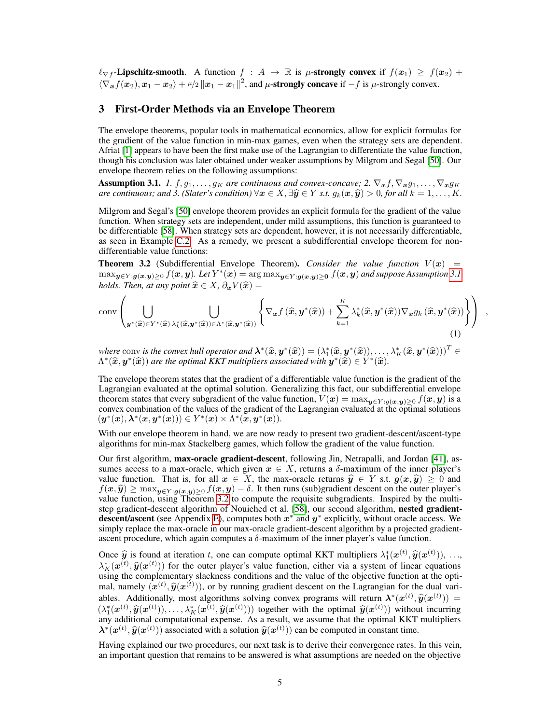$\ell_{\nabla f}$ -Lipschitz-smooth. A function  $f : A \to \mathbb{R}$  is  $\mu$ -strongly convex if  $f(x_1) \ge f(x_2) +$  $\langle \nabla_{\bm{x}} f(\bm{x}_2), \bm{x}_1 - \bm{x}_2 \rangle + \mu/2 \|\bm{x}_1 - \bm{x}_1\|^2$ , and  $\mu$ -strongly concave if  $-f$  is  $\mu$ -strongly convex.

#### <span id="page-4-2"></span>3 First-Order Methods via an Envelope Theorem

The envelope theorems, popular tools in mathematical economics, allow for explicit formulas for the gradient of the value function in min-max games, even when the strategy sets are dependent. Afriat [\[1\]](#page-9-6) appears to have been the first make use of the Lagrangian to differentiate the value function, though his conclusion was later obtained under weaker assumptions by Milgrom and Segal [\[50\]](#page-11-3). Our envelope theorem relies on the following assumptions:

<span id="page-4-0"></span>**Assumption 3.1.** *1.*  $f, g_1, \ldots, g_K$  are continuous and convex-concave; 2.  $\nabla_{\bm{x}} f, \nabla_{\bm{x}} g_1, \ldots, \nabla_{\bm{x}} g_K$ *are continuous; and 3. (Slater's condition)*  $\forall x \in X, \exists \hat{y} \in Y \text{ s.t. } g_k(x, \hat{y}) > 0$ , for all  $k = 1, \ldots, K$ .

Milgrom and Segal's [\[50\]](#page-11-3) envelope theorem provides an explicit formula for the gradient of the value function. When strategy sets are independent, under mild assumptions, this function is guaranteed to be differentiable [\[58\]](#page-11-7). When strategy sets are dependent, however, it is not necessarily differentiable, as seen in Example [C.2.](#page-14-1) As a remedy, we present a subdifferential envelope theorem for nondifferentiable value functions:

<span id="page-4-1"></span>**Theorem 3.2** (Subdifferential Envelope Theorem). *Consider the value function*  $V(x)$  =  $\max_{\bm y \in Y: \bm g(\bm x,\bm y)\ge 0} f(\bm x,\bm y)$ . Let  $Y^*(\bm x) = \arg\max_{\bm y \in Y: \bm g(\bm x,\bm y)\ge 0} f(\bm x,\bm y)$  and suppose Assumption [3.1](#page-4-0) *holds. Then, at any point*  $\hat{x} \in X$ *,*  $\partial_x V(\hat{x}) =$ 

$$
\operatorname{conv}\left(\bigcup_{\boldsymbol{y}^{*}(\widehat{\boldsymbol{x}})\in Y^{*}(\widehat{\boldsymbol{x}})\lambda_{k}^{*}(\widehat{\boldsymbol{x}},\boldsymbol{y}^{*}(\widehat{\boldsymbol{x}}))\in\Lambda^{*}(\widehat{\boldsymbol{x}},\boldsymbol{y}^{*}(\widehat{\boldsymbol{x}}))}\left\{\nabla_{\boldsymbol{x}}f\left(\widehat{\boldsymbol{x}},\boldsymbol{y}^{*}(\widehat{\boldsymbol{x}})\right)+\sum_{k=1}^{K}\lambda_{k}^{*}(\widehat{\boldsymbol{x}},\boldsymbol{y}^{*}(\widehat{\boldsymbol{x}}))\nabla_{\boldsymbol{x}}g_{k}\left(\widehat{\boldsymbol{x}},\boldsymbol{y}^{*}(\widehat{\boldsymbol{x}})\right)\right\}\right) ,
$$
\n(1)

*where* conv *is the convex hull operator and*  $\boldsymbol{\lambda}^*(\hat{\boldsymbol{x}}, \boldsymbol{y}^*(\hat{\boldsymbol{x}})) = (\lambda_1^*(\hat{\boldsymbol{x}}, \boldsymbol{y}^*(\hat{\boldsymbol{x}})), \dots, \lambda_K^*(\hat{\boldsymbol{x}}, \boldsymbol{y}^*(\hat{\boldsymbol{x}})))^T \in \Lambda^*(\hat{\boldsymbol{x}}, \boldsymbol{y}^*(\hat{\boldsymbol{x}}))$  are the optimal KKT multipliers associated with  $\Lambda^*(\widehat{x}, y^*(\widehat{x}))$  are the optimal KKT multipliers associated with  $y^*(\tilde{x}) \in Y^*(\widehat{x})$ .

The envelope theorem states that the gradient of a differentiable value function is the gradient of the Lagrangian evaluated at the optimal solution. Generalizing this fact, our subdifferential envelope theorem states that every subgradient of the value function,  $V(x) = \max_{y \in Y : g(x,y) \ge 0} f(x, y)$  is a convex combination of the values of the gradient of the Lagrangian evaluated at the optimal solutions  $(y^*(x), \lambda^*(x, y^*(x))) \in Y^*(x) \times \Lambda^*(x, y^*(x)).$ 

With our envelope theorem in hand, we are now ready to present two gradient-descent/ascent-type algorithms for min-max Stackelberg games, which follow the gradient of the value function.

Our first algorithm, max-oracle gradient-descent, following Jin, Netrapalli, and Jordan [\[41\]](#page-10-2), assumes access to a max-oracle, which given  $x \in X$ , returns a  $\delta$ -maximum of the inner player's value function. That is, for all  $x \in X$ , the max-oracle returns  $\hat{y} \in Y$  s.t.  $g(x, \hat{y}) \ge 0$  and  $f(x, \hat{y}) \ge \max_{y \in Y : g(\underline{x}, y) \ge 0} f(x, y) - \delta$ . It then runs (sub)gradient descent on the outer player's value function, using Theorem [3.2](#page-4-1) to compute the requisite subgradients. Inspired by the multi-step gradient-descent algorithm of Nouiehed et al. [\[58\]](#page-11-7), our second algorithm, nested gradient-descent/ascent (see Appendix [E\)](#page-16-1), computes both  $x^*$  and  $y^*$  explicitly, without oracle access. We simply replace the max-oracle in our max-oracle gradient-descent algorithm by a projected gradientascent procedure, which again computes a  $\delta$ -maximum of the inner player's value function.

Once  $\hat{y}$  is found at iteration t, one can compute optimal KKT multipliers  $\lambda_1^*(x^{(t)}, \hat{y}(x^{(t)}))$ , ...,  $\lambda_K^*(x^{(t)}, \hat{y}(x^{(t)}))$  for the outer player's value function, either via a system of linear equations<br>using the complementary slackness conditions and the value of the objective function at the optiusing the complementary slackness conditions and the value of the objective function at the optimal, namely  $(x^{(t)}, \hat{y}(x^{(t)}))$ , or by running gradient descent on the Lagrangian for the dual vari-<br>oblace Additionally, most also ithms solving sonyay programs will rature  $\lambda^*(x^{(t)}, \hat{y}(x^{(t)}))$ ables. Additionally, most algorithms solving convex programs will return  $\lambda^*(x^{(t)}, \hat{y}(x^{(t)})) =$ <br>  $\lambda^*(x^{(t)}, \hat{y}(x^{(t)}))$   $\lambda^*(x^{(t)}, \hat{y}(x^{(t)})))$  together with the optimal  $\hat{y}(x^{(t)}))$  without inquaring  $(\lambda_1^*(x^{(t)}, \hat{y}(x^{(t)})), \dots, \lambda_K^*(x^{(t)}, \hat{y}(x^{(t)})))$  together with the optimal  $\hat{y}(x^{(t)}))$  without incurring<br>any additional computational expense. As a result, we assume that the optimal KKT multipliers any additional computational expense. As a result, we assume that the optimal KKT multipliers  $\lambda^*(x^{(t)}, \hat{y}(x^{(t)}))$  associated with a solution  $\hat{y}(x^{(t)})$  can be computed in constant time.

Having explained our two procedures, our next task is to derive their convergence rates. In this vein, an important question that remains to be answered is what assumptions are needed on the objective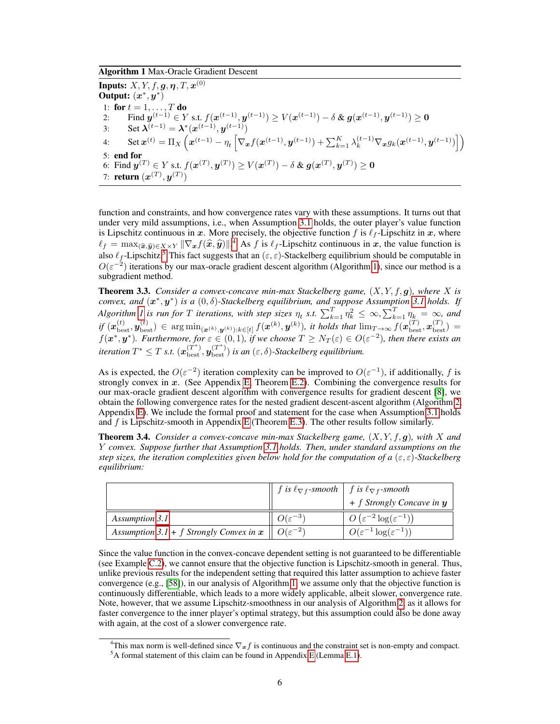<span id="page-5-0"></span>Algorithm 1 Max-Oracle Gradient Descent

Inputs:  $X,Y,f,\boldsymbol{g},\boldsymbol{\eta},T,\boldsymbol{x}^{(0)}$ Output:  $(x^*, y^*)$ 1: for  $t = 1, \ldots, T$  do 2: Find  $y^{(t-1)} \in Y$  s.t.  $f(x^{(t-1)}, y^{(t-1)}) \ge V(x^{(t-1)}) - \delta \& g(x^{(t-1)}, y^{(t-1)}) \ge 0$ 3: Set  $\lambda^{(t-1)} = \lambda^*(x^{(t-1)}, y^{(t-1)})$ 4: Set  $\mathbf{x}^{(t)} = \Pi_X \left( \mathbf{x}^{(t-1)} - \eta_t \left[ \nabla_{\mathbf{x}} f(\mathbf{x}^{(t-1)}, \mathbf{y}^{(t-1)}) + \sum_{k=1}^K \lambda_k^{(t-1)} \nabla_{\mathbf{x}} g_k(\mathbf{x}^{(t-1)}, \mathbf{y}^{(t-1)}) \right] \right)$ 5: end for 6: Find  $\boldsymbol{y}^{(T)} \in Y$  s.t.  $f(\boldsymbol{x}^{(T)}, \boldsymbol{y}^{(T)}) \geq V(\boldsymbol{x}^{(T)}) - \delta$  &  $\boldsymbol{g}(\boldsymbol{x}^{(T)}, \boldsymbol{y}^{(T)}) \geq \boldsymbol{0}$ 7: **return**  $(\boldsymbol{x}^{(T)}, \boldsymbol{y}^{(T)})$ 

function and constraints, and how convergence rates vary with these assumptions. It turns out that under very mild assumptions, i.e., when Assumption [3.1](#page-4-0) holds, the outer player's value function is Lipschitz continuous in x. More precisely, the objective function f is  $\ell_f$ -Lipschitz in x, where  $\ell_f = \max_{(\widehat{x}, \widehat{y}) \in X \times Y} \|\nabla_x f(\widehat{x}, \widehat{y})\|^{4}$  $\ell_f = \max_{(\widehat{x}, \widehat{y}) \in X \times Y} \|\nabla_x f(\widehat{x}, \widehat{y})\|^{4}$  $\ell_f = \max_{(\widehat{x}, \widehat{y}) \in X \times Y} \|\nabla_x f(\widehat{x}, \widehat{y})\|^{4}$ . As f is  $\ell_f$ -Lipschitz continuous in x, the value function is also  $\ell$ . Lipschitz 5 This feat successts that an  $(a, a)$  Steakalbara assilibrium should be computable in also  $\ell_f$ -Lipschitz.<sup>[5](#page-5-2)</sup> This fact suggests that an  $(\varepsilon, \varepsilon)$ -Stackelberg equilibrium should be computable in  $O(\varepsilon^{-2})$  iterations by our max-oracle gradient descent algorithm (Algorithm [1\)](#page-5-0), since our method is a subgradient method.

<span id="page-5-3"></span>Theorem 3.3. *Consider a convex-concave min-max Stackelberg game,* (X, Y, f, g)*, where* X *is*  $convex, and (x^*, y^*)$  *is a*  $(0, \delta)$ -Stackelberg equilibrium, and suppose Assumption [3.1](#page-4-0) holds. If *Algorithm [1](#page-5-0) is run for* T *iterations, with step sizes*  $\eta_t$  *s.t.*  $\sum_{k=1}^T \eta_k^2 \leq \infty$ ,  $\sum_{k=1}^T \eta_k = \infty$ , and  $if(\pmb{x}_{\text{best}}^{(t)},\pmb{y}_{\text{best}}^{(t)}) \in \arg\min_{(\pmb{x}^{(k)},\pmb{y}^{(k)}):k\in[t]}f(\pmb{x}^{(k)},\pmb{y}^{(k)}),$  it holds that  $\lim_{T\to\infty}f(\pmb{x}^{(T)}_{\text{best}},\pmb{x}^{(T)}_{\text{best}}) =$  $f(\bm{x}^*,\bm{y}^*)$ . Furthermore, for  $\varepsilon\in(0,1)$ , if we choose  $T\geq N_T(\varepsilon)\in O(\varepsilon^{-2})$ , then there exists an *iteration*  $T^* \leq T$  *s.t.*  $(\mathbf{x}_{\text{best}}^{(T^*)}, \mathbf{y}_{\text{best}}^{(T^*)})$  *is an*  $(\varepsilon, \delta)$ -*Stackelberg equilibrium.* 

As is expected, the  $O(\varepsilon^{-2})$  iteration complexity can be improved to  $O(\varepsilon^{-1})$ , if additionally, f is strongly convex in x. (See Appendix [E,](#page-16-1) Theorem [E.2\)](#page-18-0). Combining the convergence results for our max-oracle gradient descent algorithm with convergence results for gradient descent [\[8\]](#page-9-9), we obtain the following convergence rates for the nested gradient descent-ascent algorithm (Algorithm [2,](#page-16-0) Appendix [E\)](#page-16-1). We include the formal proof and statement for the case when Assumption [3.1](#page-4-0) holds and  $f$  is Lipschitz-smooth in Appendix [E](#page-16-1) (Theorem [E.3\)](#page-20-0). The other results follow similarly.

<span id="page-5-4"></span>Theorem 3.4. *Consider a convex-concave min-max Stackelberg game,* (X, Y, f, g)*, with* X *and* Y *convex. Suppose further that Assumption [3.1](#page-4-0) holds. Then, under standard assumptions on the step sizes, the iteration complexities given below hold for the computation of a*  $(\epsilon, \epsilon)$ -*Stackelberg equilibrium:*

|                                           | <i>f</i> is $\ell_{\nabla f}$ -smooth <i>f</i> is $\ell_{\nabla f}$ -smooth |                                              |
|-------------------------------------------|-----------------------------------------------------------------------------|----------------------------------------------|
|                                           |                                                                             | $+ f$ Strongly Concave in $y$                |
| Assumption 3.1                            | $O(\varepsilon^{-3})$                                                       | $O(\varepsilon^{-2} \log(\varepsilon^{-1}))$ |
| Assumption 3.1 + f Strongly Convex in $x$ | $O(\varepsilon^{-2})$                                                       | $O(\varepsilon^{-1} \log(\varepsilon^{-1}))$ |

Since the value function in the convex-concave dependent setting is not guaranteed to be differentiable (see Example [C.2\)](#page-14-1), we cannot ensure that the objective function is Lipschitz-smooth in general. Thus, unlike previous results for the independent setting that required this latter assumption to achieve faster convergence (e.g., [\[58\]](#page-11-7)), in our analysis of Algorithm [1,](#page-5-0) we assume only that the objective function is continuously differentiable, which leads to a more widely applicable, albeit slower, convergence rate. Note, however, that we assume Lipschitz-smoothness in our analysis of Algorithm [2,](#page-16-0) as it allows for faster convergence to the inner player's optimal strategy, but this assumption could also be done away with again, at the cost of a slower convergence rate.

<span id="page-5-1"></span><sup>&</sup>lt;sup>4</sup>This max norm is well-defined since  $\nabla_{x} f$  is continuous and the constraint set is non-empty and compact.

<span id="page-5-2"></span><sup>5</sup>A formal statement of this claim can be found in Appendix [E](#page-16-1) (Lemma [E.1\)](#page-16-2).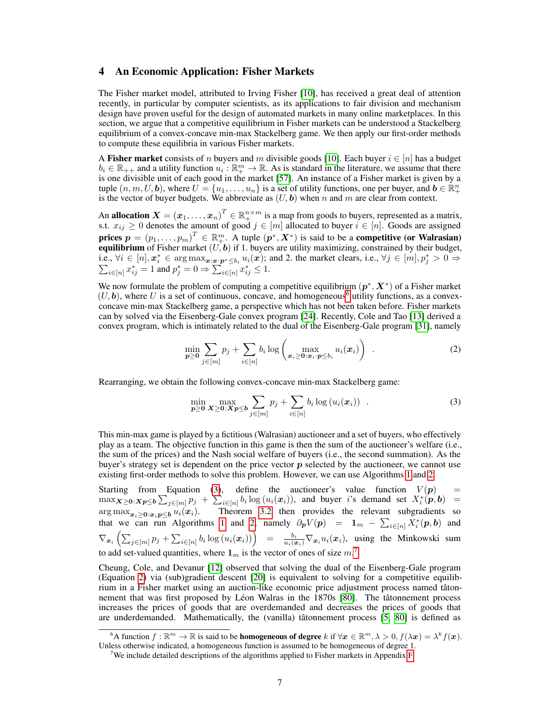### 4 An Economic Application: Fisher Markets

The Fisher market model, attributed to Irving Fisher [\[10\]](#page-9-3), has received a great deal of attention recently, in particular by computer scientists, as its applications to fair division and mechanism design have proven useful for the design of automated markets in many online marketplaces. In this section, we argue that a competitive equilibrium in Fisher markets can be understood a Stackelberg equilibrium of a convex-concave min-max Stackelberg game. We then apply our first-order methods to compute these equilibria in various Fisher markets.

A Fisher market consists of n buyers and m divisible goods [\[10\]](#page-9-3). Each buyer  $i \in [n]$  has a budget  $b_i \in \mathbb{R}_{++}$  and a utility function  $u_i : \mathbb{R}^m_+ \to \mathbb{R}$ . As is standard in the literature, we assume that there is one divisible unit of each good in the market [\[57\]](#page-11-2). An instance of a Fisher market is given by a tuple  $(n, m, U, \mathbf{b})$ , where  $U = \{u_1, \dots, u_n\}$  is a set of utility functions, one per buyer, and  $\mathbf{b} \in \mathbb{R}^n_+$ is the vector of buyer budgets. We abbreviate as  $(U, b)$  when n and m are clear from context.

An allocation  $X = (x_1, \dots, x_n)^T \in \mathbb{R}^{n \times m}_+$  is a map from goods to buyers, represented as a matrix, s.t.  $x_{ij} \ge 0$  denotes the amount of good  $j \in [m]$  allocated to buyer  $i \in [n]$ . Goods are assigned prices  $p = (p_1, \ldots, p_m)^T \in \mathbb{R}^m_+$ . A tuple  $(p^*, X^*)$  is said to be a competitive (or Walrasian) equilibrium of Fisher market  $(U, b)$  if 1. buyers are utility maximizing, constrained by their budget, i.e.,  $\forall i \in [n], \mathbf{x}_i^* \in \arg \max_{\mathbf{x} : \mathbf{x} \cdot \mathbf{p}^* \le b_i} u_i(\mathbf{x})$ ; and 2. the market clears, i.e.,  $\forall j \in [m], p_j^*$ P  $j^* > 0 \Rightarrow$  $\sum_{i \in [n]} x_{ij}^* = 1$  and  $p_j^* = 0 \Rightarrow \sum_{i \in [n]} \overline{z}_{ij}^* \leq 1$ .

We now formulate the problem of computing a competitive equilibrium  $(p^*, X^*)$  of a Fisher market  $(U, b)$ , where U is a set of continuous, concave, and homogeneous<sup>[6](#page-6-0)</sup> utility functions, as a convexconcave min-max Stackelberg game, a perspective which has not been taken before. Fisher markets can by solved via the Eisenberg-Gale convex program [\[24\]](#page-10-12). Recently, Cole and Tao [\[13\]](#page-9-10) derived a convex program, which is intimately related to the dual of the Eisenberg-Gale program [\[31\]](#page-10-13), namely

<span id="page-6-3"></span>
$$
\min_{\boldsymbol{p}\geq\boldsymbol{0}}\sum_{j\in[m]}p_j+\sum_{i\in[n]}b_i\log\left(\max_{\boldsymbol{x}_i\geq\boldsymbol{0}:\boldsymbol{x}_i\cdot\boldsymbol{p}\leq b_i}u_i(\boldsymbol{x}_i)\right) . \tag{2}
$$

Rearranging, we obtain the following convex-concave min-max Stackelberg game:

<span id="page-6-1"></span>
$$
\min_{\boldsymbol{p} \geq \boldsymbol{0}} \max_{\boldsymbol{X} \geq \boldsymbol{0}: \boldsymbol{X}\boldsymbol{p} \leq \boldsymbol{b}} \sum_{j \in [m]} p_j + \sum_{i \in [n]} b_i \log \left( u_i(\boldsymbol{x}_i) \right) . \tag{3}
$$

This min-max game is played by a fictitious (Walrasian) auctioneer and a set of buyers, who effectively play as a team. The objective function in this game is then the sum of the auctioneer's welfare (i.e., the sum of the prices) and the Nash social welfare of buyers (i.e., the second summation). As the buyer's strategy set is dependent on the price vector  $p$  selected by the auctioneer, we cannot use existing first-order methods to solve this problem. However, we can use Algorithms [1](#page-5-0) and [2.](#page-16-0)

Starting from Equation [\(3\)](#page-6-1), define the auctioneer's value function  $V(p)$  =  $\max_{\mathbf{X} \geq \mathbf{0}: \mathbf{X}\mathbf{p} \leq \mathbf{b}} \sum_{j \in [m]} p_j + \sum_{i \in [n]} b_i \log(u_i(\mathbf{x}_i)),$  and buyer i's demand set  $X_i^*(\mathbf{p}, \mathbf{b}) =$ arg max $x_{x_i\geq 0: x_i p \leq b} u_i(x_i)$ . Theorem [3.2](#page-4-1) then provides the relevant subgradients so that we can run Algorithms [1](#page-5-0) and [2,](#page-16-0) namely  $\partial_p V(p) = 1_m - \sum_{i \in [n]} X_i^*(p, b)$  and  $\nabla_{\bm{x}_i}\left(\sum_{j\in [m]}p_j + \sum_{i\in [n]}b_i\log\left(u_i(\bm{x}_i)\right)\right) = \frac{b_i}{u_i(\bm{x}_i)}\nabla_{\bm{x}_i}u_i(\bm{x}_i),$  using the Minkowski sum to add set-valued quantities, where  $1_m$  is the vector of ones of size  $m$ .<sup>[7](#page-6-2)</sup>

Cheung, Cole, and Devanur [\[12\]](#page-9-11) observed that solving the dual of the Eisenberg-Gale program (Equation [2\)](#page-6-3) via (sub)gradient descent [\[20\]](#page-10-9) is equivalent to solving for a competitive equilibrium in a Fisher market using an auction-like economic price adjustment process named tâtonnement that was first proposed by Léon Walras in the 1870s [\[80\]](#page-12-5). The tâtonnement process increases the prices of goods that are overdemanded and decreases the prices of goods that are underdemanded. Mathematically, the (vanilla) tâtonnement process [\[5,](#page-9-12) [80\]](#page-12-5) is defined as

<span id="page-6-0"></span><sup>&</sup>lt;sup>6</sup>A function  $f : \mathbb{R}^m \to \mathbb{R}$  is said to be **homogeneous of degree** k if  $\forall x \in \mathbb{R}^m$ ,  $\lambda > 0$ ,  $f(\lambda x) = \lambda^k f(x)$ . Unless otherwise indicated, a homogeneous function is assumed to be homogeneous of degree 1.

<span id="page-6-2"></span><sup>&</sup>lt;sup>7</sup>We include detailed descriptions of the algorithms applied to Fisher markets in Appendix [F.](#page-21-0)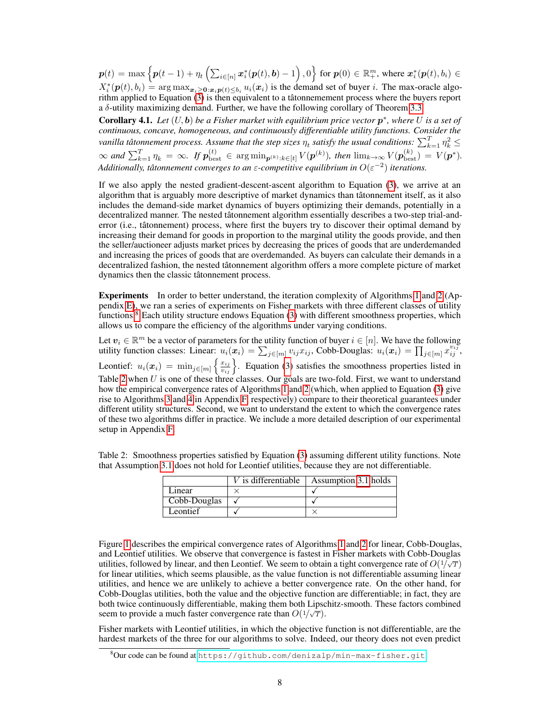$\bm{p}(t) = \max\left\{\bm{p}(t-1) + \eta_t\left(\sum_{i\in[n]}\bm{x}_i^*(\bm{p}(t),\bm{b})-1\right), 0\right\}$  for  $\bm{p}(0)\in\mathbb{R}_+^m,$  where  $\bm{x}_i^*(\bm{p}(t),b_i)\in\mathbb{R}$  $X_i^*(p(t), b_i) = \arg \max_{\mathbf{x}_i \geq 0: \mathbf{x}_i p(t) \leq b_i} u_i(\mathbf{x}_i)$  is the demand set of buyer i. The max-oracle algorithm applied to Equation  $(3)$  is then equivalent to a tâtonnemement process where the buyers report a  $\delta$ -utility maximizing demand. Further, we have the following corollary of Theorem [3.3.](#page-5-3)

**Corollary 4.1.** Let  $(U, b)$  be a Fisher market with equilibrium price vector  $p^*$ , where U is a set of *continuous, concave, homogeneous, and continuously differentiable utility functions. Consider the* vanilla tâtonnement process. Assume that the step sizes  $\eta_t$  satisfy the usual conditions:  $\sum_{k=1}^T \eta_k^2 \leq$  $\infty$  and  $\sum_{k=1}^T \eta_k = \infty$ . If  $p_{\text{best}}^{(t)} \in \arg \min_{\mathbf{p}^{(k)} : k \in [t]} V(\mathbf{p}^{(k)})$ , then  $\lim_{k \to \infty} V(\mathbf{p}_{\text{best}}^{(k)}) = V(\mathbf{p}^*)$ . Additionally, tâtonnement converges to an  $\varepsilon$ -competitive equilibrium in  $O(\varepsilon^{-2})$  iterations.

If we also apply the nested gradient-descent-ascent algorithm to Equation [\(3\)](#page-6-1), we arrive at an algorithm that is arguably more descriptive of market dynamics than tâtonnement itself, as it also includes the demand-side market dynamics of buyers optimizing their demands, potentially in a decentralized manner. The nested tâtonnement algorithm essentially describes a two-step trial-anderror (i.e., tâtonnement) process, where first the buyers try to discover their optimal demand by increasing their demand for goods in proportion to the marginal utility the goods provide, and then the seller/auctioneer adjusts market prices by decreasing the prices of goods that are underdemanded and increasing the prices of goods that are overdemanded. As buyers can calculate their demands in a decentralized fashion, the nested tâtonnement algorithm offers a more complete picture of market dynamics then the classic tâtonnement process.

Experiments In order to better understand, the iteration complexity of Algorithms [1](#page-5-0) and [2](#page-16-0) (Appendix [E\)](#page-16-1), we ran a series of experiments on Fisher markets with three different classes of utility functions.[8](#page-7-0) Each utility structure endows Equation [\(3\)](#page-6-1) with different smoothness properties, which allows us to compare the efficiency of the algorithms under varying conditions.

Let  $v_i \in \mathbb{R}^m$  be a vector of parameters for the utility function of buyer  $i \in [n]$ . We have the following utility function classes: Linear:  $u_i(x_i) = \sum_{j \in [m]} v_{ij} x_{ij}$ , Cobb-Douglas:  $u_i(x_i) = \prod_{j \in [m]} x_{ij}^{v_i}$ ; Leontief:  $u_i(\bm{x}_i) = \min_{j \in [m]} \left\{ \frac{x_{ij}}{v_{ij}} \right\}$ . Equation [\(3\)](#page-6-1) satisfies the smoothness properties listed in Table [2](#page-7-1) when  $U$  is one of these three classes. Our goals are two-fold. First, we want to understand how the empirical convergence rates of Algorithms [1](#page-5-0) and [2](#page-16-0) (which, when applied to Equation [\(3\)](#page-6-1) give rise to Algorithms [3](#page-22-1) and [4](#page-22-2) in Appendix [F,](#page-21-0) respectively) compare to their theoretical guarantees under different utility structures. Second, we want to understand the extent to which the convergence rates of these two algorithms differ in practice. We include a more detailed description of our experimental setup in Appendix [F.](#page-21-0)

|        | that Assumption 3.1 does not hold for Leontief utilities, because they are not differentiable. |  |
|--------|------------------------------------------------------------------------------------------------|--|
|        | V is differentiable $ $ Assumption 3.1 holds $ $                                               |  |
| Linear |                                                                                                |  |

<span id="page-7-1"></span>Table 2: Smoothness properties satisfied by Equation [\(3\)](#page-6-1) assuming different utility functions. Note

|              | V is differentiable | Assumption 3.1 holds |
|--------------|---------------------|----------------------|
| Linear       |                     |                      |
| Cobb-Douglas |                     |                      |
| Leontief     |                     |                      |
|              |                     |                      |

Figure [1](#page-8-0) describes the empirical convergence rates of Algorithms [1](#page-5-0) and [2](#page-16-0) for linear, Cobb-Douglas, and Leontief utilities. We observe that convergence is fastest in Fisher markets with Cobb-Douglas utilities, followed by linear, and then Leontief. We seem to obtain a tight convergence rate of  $O(1/\sqrt{T})$ for linear utilities, which seems plausible, as the value function is not differentiable assuming linear utilities, and hence we are unlikely to achieve a better convergence rate. On the other hand, for Cobb-Douglas utilities, both the value and the objective function are differentiable; in fact, they are both twice continuously differentiable, making them both Lipschitz-smooth. These factors combined seem to provide a much faster convergence rate than  $O(1/\sqrt{T})$ .

Fisher markets with Leontief utilities, in which the objective function is not differentiable, are the hardest markets of the three for our algorithms to solve. Indeed, our theory does not even predict

<span id="page-7-0"></span> $8$ Our code can be found at <https://github.com/denizalp/min-max-fisher.git>.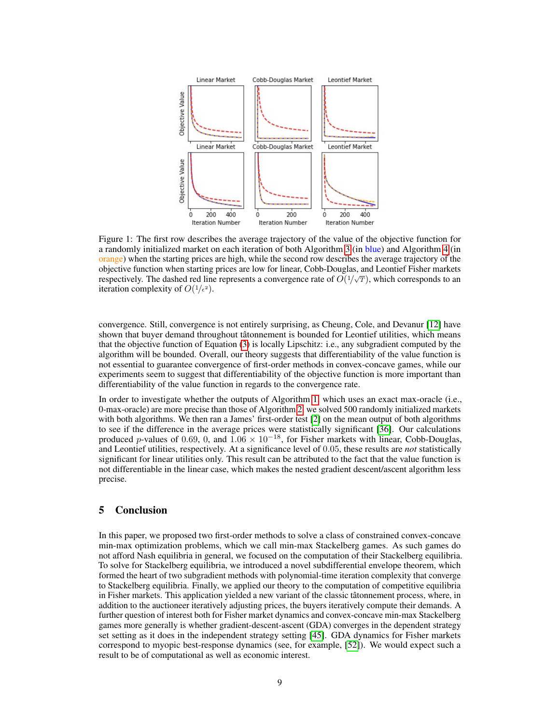<span id="page-8-0"></span>

Figure 1: The first row describes the average trajectory of the value of the objective function for a randomly initialized market on each iteration of both Algorithm [3](#page-22-1) (in blue) and Algorithm [4](#page-22-2) (in orange) when the starting prices are high, while the second row describes the average trajectory of the objective function when starting prices are low for linear, Cobb-Douglas, and Leontief Fisher markets respectively. The dashed red line represents a convergence rate of  $O(1/\sqrt{T})$ , which corresponds to an iteration complexity of  $O(1/\epsilon^2)$ .

convergence. Still, convergence is not entirely surprising, as Cheung, Cole, and Devanur [\[12\]](#page-9-11) have shown that buyer demand throughout tâtonnement is bounded for Leontief utilities, which means that the objective function of Equation [\(3\)](#page-6-1) is locally Lipschitz: i.e., any subgradient computed by the algorithm will be bounded. Overall, our theory suggests that differentiability of the value function is not essential to guarantee convergence of first-order methods in convex-concave games, while our experiments seem to suggest that differentiability of the objective function is more important than differentiability of the value function in regards to the convergence rate.

In order to investigate whether the outputs of Algorithm [1,](#page-5-0) which uses an exact max-oracle (i.e., 0-max-oracle) are more precise than those of Algorithm [2,](#page-16-0) we solved 500 randomly initialized markets with both algorithms. We then ran a James' first-order test [\[2\]](#page-9-13) on the mean output of both algorithms to see if the difference in the average prices were statistically significant [\[36\]](#page-10-14). Our calculations produced p-values of 0.69, 0, and  $1.06 \times 10^{-18}$ , for Fisher markets with linear, Cobb-Douglas, and Leontief utilities, respectively. At a significance level of 0.05, these results are *not* statistically significant for linear utilities only. This result can be attributed to the fact that the value function is not differentiable in the linear case, which makes the nested gradient descent/ascent algorithm less precise.

# 5 Conclusion

In this paper, we proposed two first-order methods to solve a class of constrained convex-concave min-max optimization problems, which we call min-max Stackelberg games. As such games do not afford Nash equilibria in general, we focused on the computation of their Stackelberg equilibria. To solve for Stackelberg equilibria, we introduced a novel subdifferential envelope theorem, which formed the heart of two subgradient methods with polynomial-time iteration complexity that converge to Stackelberg equilibria. Finally, we applied our theory to the computation of competitive equilibria in Fisher markets. This application yielded a new variant of the classic tâtonnement process, where, in addition to the auctioneer iteratively adjusting prices, the buyers iteratively compute their demands. A further question of interest both for Fisher market dynamics and convex-concave min-max Stackelberg games more generally is whether gradient-descent-ascent (GDA) converges in the dependent strategy set setting as it does in the independent strategy setting [\[45\]](#page-11-8). GDA dynamics for Fisher markets correspond to myopic best-response dynamics (see, for example, [\[52\]](#page-11-9)). We would expect such a result to be of computational as well as economic interest.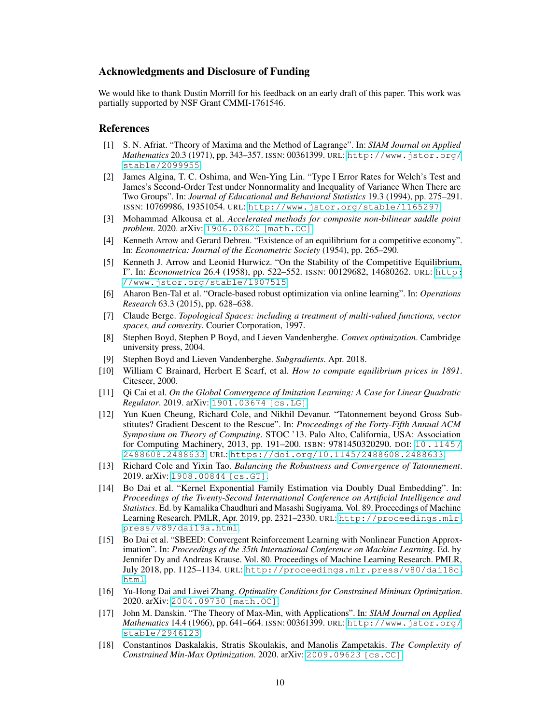### Acknowledgments and Disclosure of Funding

We would like to thank Dustin Morrill for his feedback on an early draft of this paper. This work was partially supported by NSF Grant CMMI-1761546.

#### References

- <span id="page-9-6"></span>[1] S. N. Afriat. "Theory of Maxima and the Method of Lagrange". In: *SIAM Journal on Applied Mathematics* 20.3 (1971), pp. 343–357. ISSN: 00361399. URL: [http://www.jstor.org/](http://www.jstor.org/stable/2099955) [stable/2099955](http://www.jstor.org/stable/2099955).
- <span id="page-9-13"></span>[2] James Algina, T. C. Oshima, and Wen-Ying Lin. "Type I Error Rates for Welch's Test and James's Second-Order Test under Nonnormality and Inequality of Variance When There are Two Groups". In: *Journal of Educational and Behavioral Statistics* 19.3 (1994), pp. 275–291. ISSN: 10769986, 19351054. URL: <http://www.jstor.org/stable/1165297>.
- <span id="page-9-16"></span>[3] Mohammad Alkousa et al. *Accelerated methods for composite non-bilinear saddle point problem*. 2020. arXiv: [1906.03620 \[math.OC\]](https://arxiv.org/abs/1906.03620).
- <span id="page-9-8"></span>[4] Kenneth Arrow and Gerard Debreu. "Existence of an equilibrium for a competitive economy". In: *Econometrica: Journal of the Econometric Society* (1954), pp. 265–290.
- <span id="page-9-12"></span>[5] Kenneth J. Arrow and Leonid Hurwicz. "On the Stability of the Competitive Equilibrium, I". In: *Econometrica* 26.4 (1958), pp. 522–552. ISSN: 00129682, 14680262. URL: [http:](http://www.jstor.org/stable/1907515) [//www.jstor.org/stable/1907515](http://www.jstor.org/stable/1907515).
- <span id="page-9-7"></span>[6] Aharon Ben-Tal et al. "Oracle-based robust optimization via online learning". In: *Operations Research* 63.3 (2015), pp. 628–638.
- <span id="page-9-14"></span>[7] Claude Berge. *Topological Spaces: including a treatment of multi-valued functions, vector spaces, and convexity*. Courier Corporation, 1997.
- <span id="page-9-9"></span>[8] Stephen Boyd, Stephen P Boyd, and Lieven Vandenberghe. *Convex optimization*. Cambridge university press, 2004.
- <span id="page-9-15"></span>[9] Stephen Boyd and Lieven Vandenberghe. *Subgradients*. Apr. 2018.
- <span id="page-9-3"></span>[10] William C Brainard, Herbert E Scarf, et al. *How to compute equilibrium prices in 1891*. Citeseer, 2000.
- <span id="page-9-2"></span>[11] Qi Cai et al. *On the Global Convergence of Imitation Learning: A Case for Linear Quadratic Regulator*. 2019. arXiv: [1901.03674 \[cs.LG\]](https://arxiv.org/abs/1901.03674).
- <span id="page-9-11"></span>[12] Yun Kuen Cheung, Richard Cole, and Nikhil Devanur. "Tatonnement beyond Gross Substitutes? Gradient Descent to the Rescue". In: *Proceedings of the Forty-Fifth Annual ACM Symposium on Theory of Computing*. STOC '13. Palo Alto, California, USA: Association for Computing Machinery, 2013, pp. 191–200. ISBN: 9781450320290. DOI: [10.1145/](https://doi.org/10.1145/2488608.2488633) [2488608.2488633](https://doi.org/10.1145/2488608.2488633). URL: <https://doi.org/10.1145/2488608.2488633>.
- <span id="page-9-10"></span>[13] Richard Cole and Yixin Tao. *Balancing the Robustness and Convergence of Tatonnement*. 2019. arXiv: [1908.00844 \[cs.GT\]](https://arxiv.org/abs/1908.00844).
- <span id="page-9-1"></span>[14] Bo Dai et al. "Kernel Exponential Family Estimation via Doubly Dual Embedding". In: *Proceedings of the Twenty-Second International Conference on Artificial Intelligence and Statistics*. Ed. by Kamalika Chaudhuri and Masashi Sugiyama. Vol. 89. Proceedings of Machine Learning Research. PMLR, Apr. 2019, pp. 2321–2330. URL: [http://proceedings.mlr.](http://proceedings.mlr.press/v89/dai19a.html) [press/v89/dai19a.html](http://proceedings.mlr.press/v89/dai19a.html).
- <span id="page-9-0"></span>[15] Bo Dai et al. "SBEED: Convergent Reinforcement Learning with Nonlinear Function Approximation". In: *Proceedings of the 35th International Conference on Machine Learning*. Ed. by Jennifer Dy and Andreas Krause. Vol. 80. Proceedings of Machine Learning Research. PMLR, July 2018, pp. 1125–1134. URL: [http://proceedings.mlr.press/v80/dai18c.](http://proceedings.mlr.press/v80/dai18c.html) [html](http://proceedings.mlr.press/v80/dai18c.html).
- <span id="page-9-17"></span>[16] Yu-Hong Dai and Liwei Zhang. *Optimality Conditions for Constrained Minimax Optimization*. 2020. arXiv: [2004.09730 \[math.OC\]](https://arxiv.org/abs/2004.09730).
- <span id="page-9-4"></span>[17] John M. Danskin. "The Theory of Max-Min, with Applications". In: *SIAM Journal on Applied Mathematics* 14.4 (1966), pp. 641–664. ISSN: 00361399. URL: [http://www.jstor.org/](http://www.jstor.org/stable/2946123) [stable/2946123](http://www.jstor.org/stable/2946123).
- <span id="page-9-5"></span>[18] Constantinos Daskalakis, Stratis Skoulakis, and Manolis Zampetakis. *The Complexity of Constrained Min-Max Optimization*. 2020. arXiv: [2009.09623 \[cs.CC\]](https://arxiv.org/abs/2009.09623).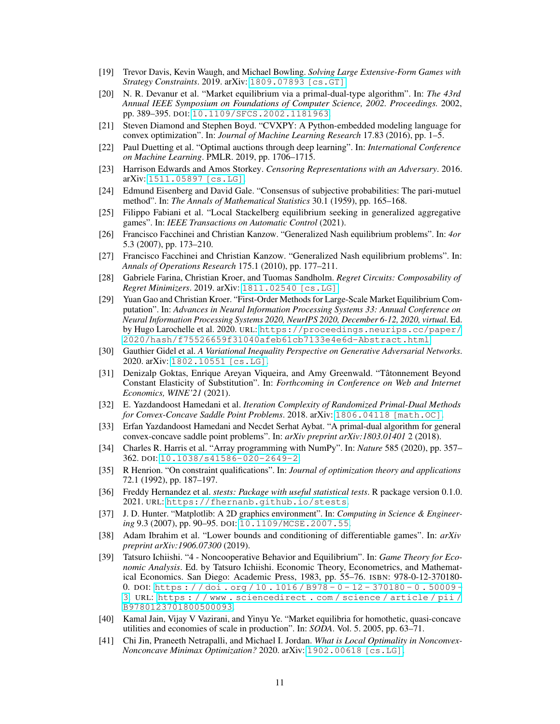- <span id="page-10-3"></span>[19] Trevor Davis, Kevin Waugh, and Michael Bowling. *Solving Large Extensive-Form Games with Strategy Constraints*. 2019. arXiv: [1809.07893 \[cs.GT\]](https://arxiv.org/abs/1809.07893).
- <span id="page-10-9"></span>[20] N. R. Devanur et al. "Market equilibrium via a primal-dual-type algorithm". In: *The 43rd Annual IEEE Symposium on Foundations of Computer Science, 2002. Proceedings.* 2002, pp. 389–395. DOI: [10.1109/SFCS.2002.1181963](https://doi.org/10.1109/SFCS.2002.1181963).
- <span id="page-10-17"></span>[21] Steven Diamond and Stephen Boyd. "CVXPY: A Python-embedded modeling language for convex optimization". In: *Journal of Machine Learning Research* 17.83 (2016), pp. 1–5.
- <span id="page-10-8"></span>[22] Paul Duetting et al. "Optimal auctions through deep learning". In: *International Conference on Machine Learning*. PMLR. 2019, pp. 1706–1715.
- <span id="page-10-0"></span>[23] Harrison Edwards and Amos Storkey. *Censoring Representations with an Adversary*. 2016. arXiv: [1511.05897 \[cs.LG\]](https://arxiv.org/abs/1511.05897).
- <span id="page-10-12"></span>[24] Edmund Eisenberg and David Gale. "Consensus of subjective probabilities: The pari-mutuel method". In: *The Annals of Mathematical Statistics* 30.1 (1959), pp. 165–168.
- <span id="page-10-5"></span>[25] Filippo Fabiani et al. "Local Stackelberg equilibrium seeking in generalized aggregative games". In: *IEEE Transactions on Automatic Control* (2021).
- <span id="page-10-6"></span>[26] Francisco Facchinei and Christian Kanzow. "Generalized Nash equilibrium problems". In: *4or* 5.3 (2007), pp. 173–210.
- <span id="page-10-7"></span>[27] Francisco Facchinei and Christian Kanzow. "Generalized Nash equilibrium problems". In: *Annals of Operations Research* 175.1 (2010), pp. 177–211.
- <span id="page-10-4"></span>[28] Gabriele Farina, Christian Kroer, and Tuomas Sandholm. *Regret Circuits: Composability of Regret Minimizers*. 2019. arXiv: [1811.02540 \[cs.LG\]](https://arxiv.org/abs/1811.02540).
- <span id="page-10-11"></span>[29] Yuan Gao and Christian Kroer. "First-Order Methods for Large-Scale Market Equilibrium Computation". In: *Advances in Neural Information Processing Systems 33: Annual Conference on Neural Information Processing Systems 2020, NeurIPS 2020, December 6-12, 2020, virtual*. Ed. by Hugo Larochelle et al. 2020. URL: [https://proceedings.neurips.cc/paper/](https://proceedings.neurips.cc/paper/2020/hash/f75526659f31040afeb61cb7133e4e6d-Abstract.html) [2020/hash/f75526659f31040afeb61cb7133e4e6d-Abstract.html](https://proceedings.neurips.cc/paper/2020/hash/f75526659f31040afeb61cb7133e4e6d-Abstract.html).
- <span id="page-10-19"></span>[30] Gauthier Gidel et al. *A Variational Inequality Perspective on Generative Adversarial Networks*. 2020. arXiv: [1802.10551 \[cs.LG\]](https://arxiv.org/abs/1802.10551).
- <span id="page-10-13"></span>[31] Denizalp Goktas, Enrique Areyan Viqueira, and Amy Greenwald. "Tâtonnement Beyond Constant Elasticity of Substitution". In: *Forthcoming in Conference on Web and Internet Economics, WINE'21* (2021).
- <span id="page-10-1"></span>[32] E. Yazdandoost Hamedani et al. *Iteration Complexity of Randomized Primal-Dual Methods for Convex-Concave Saddle Point Problems*. 2018. arXiv: [1806.04118 \[math.OC\]](https://arxiv.org/abs/1806.04118).
- <span id="page-10-21"></span>[33] Erfan Yazdandoost Hamedani and Necdet Serhat Aybat. "A primal-dual algorithm for general convex-concave saddle point problems". In: *arXiv preprint arXiv:1803.01401* 2 (2018).
- <span id="page-10-16"></span>[34] Charles R. Harris et al. "Array programming with NumPy". In: *Nature* 585 (2020), pp. 357– 362. DOI: [10.1038/s41586-020-2649-2](https://doi.org/10.1038/s41586-020-2649-2).
- <span id="page-10-22"></span>[35] R Henrion. "On constraint qualifications". In: *Journal of optimization theory and applications* 72.1 (1992), pp. 187–197.
- <span id="page-10-14"></span>[36] Freddy Hernandez et al. *stests: Package with useful statistical tests*. R package version 0.1.0. 2021. URL: <https://fhernanb.github.io/stests>.
- <span id="page-10-18"></span>[37] J. D. Hunter. "Matplotlib: A 2D graphics environment". In: *Computing in Science & Engineering* 9.3 (2007), pp. 90–95. DOI: [10.1109/MCSE.2007.55](https://doi.org/10.1109/MCSE.2007.55).
- <span id="page-10-20"></span>[38] Adam Ibrahim et al. "Lower bounds and conditioning of differentiable games". In: *arXiv preprint arXiv:1906.07300* (2019).
- <span id="page-10-15"></span>[39] Tatsuro Ichiishi. "4 - Noncooperative Behavior and Equilibrium". In: *Game Theory for Economic Analysis*. Ed. by Tatsuro Ichiishi. Economic Theory, Econometrics, and Mathematical Economics. San Diego: Academic Press, 1983, pp. 55–76. ISBN: 978-0-12-370180- 0. DOI: https://doi.org/10.1016/B978-0-12-370180-0.50009-[3](https://doi.org/https://doi.org/10.1016/B978-0-12-370180-0.50009-3). URL: [https : / / www . sciencedirect . com / science / article / pii /](https://www.sciencedirect.com/science/article/pii/B9780123701800500093) [B9780123701800500093](https://www.sciencedirect.com/science/article/pii/B9780123701800500093).
- <span id="page-10-10"></span>[40] Kamal Jain, Vijay V Vazirani, and Yinyu Ye. "Market equilibria for homothetic, quasi-concave utilities and economies of scale in production". In: *SODA*. Vol. 5. 2005, pp. 63–71.
- <span id="page-10-2"></span>[41] Chi Jin, Praneeth Netrapalli, and Michael I. Jordan. *What is Local Optimality in Nonconvex-Nonconcave Minimax Optimization?* 2020. arXiv: [1902.00618 \[cs.LG\]](https://arxiv.org/abs/1902.00618).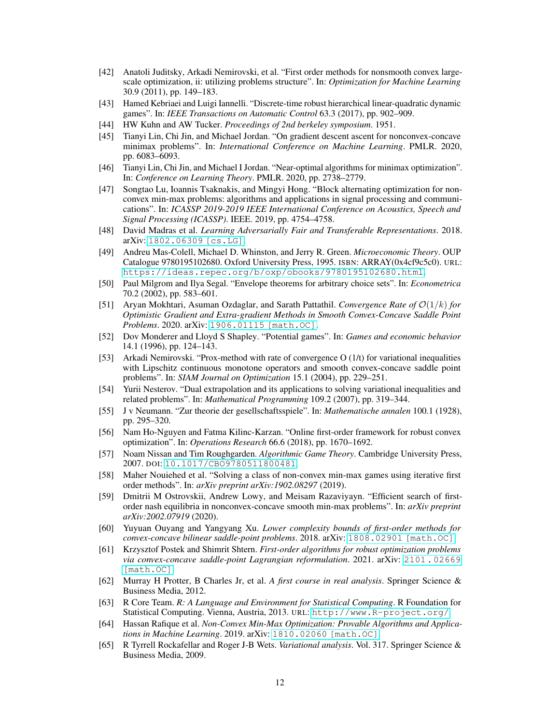- <span id="page-11-17"></span>[42] Anatoli Juditsky, Arkadi Nemirovski, et al. "First order methods for nonsmooth convex largescale optimization, ii: utilizing problems structure". In: *Optimization for Machine Learning* 30.9 (2011), pp. 149–183.
- <span id="page-11-6"></span>[43] Hamed Kebriaei and Luigi Iannelli. "Discrete-time robust hierarchical linear-quadratic dynamic games". In: *IEEE Transactions on Automatic Control* 63.3 (2017), pp. 902–909.
- <span id="page-11-10"></span>[44] HW Kuhn and AW Tucker. *Proceedings of 2nd berkeley symposium*. 1951.
- <span id="page-11-8"></span>[45] Tianyi Lin, Chi Jin, and Michael Jordan. "On gradient descent ascent for nonconvex-concave minimax problems". In: *International Conference on Machine Learning*. PMLR. 2020, pp. 6083–6093.
- <span id="page-11-16"></span>[46] Tianyi Lin, Chi Jin, and Michael I Jordan. "Near-optimal algorithms for minimax optimization". In: *Conference on Learning Theory*. PMLR. 2020, pp. 2738–2779.
- <span id="page-11-22"></span>[47] Songtao Lu, Ioannis Tsaknakis, and Mingyi Hong. "Block alternating optimization for nonconvex min-max problems: algorithms and applications in signal processing and communications". In: *ICASSP 2019-2019 IEEE International Conference on Acoustics, Speech and Signal Processing (ICASSP)*. IEEE. 2019, pp. 4754–4758.
- <span id="page-11-0"></span>[48] David Madras et al. *Learning Adversarially Fair and Transferable Representations*. 2018. arXiv: [1802.06309 \[cs.LG\]](https://arxiv.org/abs/1802.06309).
- <span id="page-11-14"></span>[49] Andreu Mas-Colell, Michael D. Whinston, and Jerry R. Green. *Microeconomic Theory*. OUP Catalogue 9780195102680. Oxford University Press, 1995. ISBN: ARRAY(0x4cf9c5c0). URL: <https://ideas.repec.org/b/oxp/obooks/9780195102680.html>.
- <span id="page-11-3"></span>[50] Paul Milgrom and Ilya Segal. "Envelope theorems for arbitrary choice sets". In: *Econometrica* 70.2 (2002), pp. 583–601.
- <span id="page-11-15"></span>[51] Aryan Mokhtari, Asuman Ozdaglar, and Sarath Pattathil. *Convergence Rate of* O(1/k) *for Optimistic Gradient and Extra-gradient Methods in Smooth Convex-Concave Saddle Point Problems*. 2020. arXiv: [1906.01115 \[math.OC\]](https://arxiv.org/abs/1906.01115).
- <span id="page-11-9"></span>[52] Dov Monderer and Lloyd S Shapley. "Potential games". In: *Games and economic behavior* 14.1 (1996), pp. 124–143.
- <span id="page-11-19"></span>[53] Arkadi Nemirovski. "Prox-method with rate of convergence O (1/t) for variational inequalities with Lipschitz continuous monotone operators and smooth convex-concave saddle point problems". In: *SIAM Journal on Optimization* 15.1 (2004), pp. 229–251.
- <span id="page-11-20"></span>[54] Yurii Nesterov. "Dual extrapolation and its applications to solving variational inequalities and related problems". In: *Mathematical Programming* 109.2 (2007), pp. 319–344.
- <span id="page-11-1"></span>[55] J v Neumann. "Zur theorie der gesellschaftsspiele". In: *Mathematische annalen* 100.1 (1928), pp. 295–320.
- <span id="page-11-4"></span>[56] Nam Ho-Nguyen and Fatma Kilinc-Karzan. "Online first-order framework for robust convex optimization". In: *Operations Research* 66.6 (2018), pp. 1670–1692.
- <span id="page-11-2"></span>[57] Noam Nissan and Tim Roughgarden. *Algorithmic Game Theory*. Cambridge University Press, 2007. DOI: [10.1017/CBO9780511800481](https://doi.org/10.1017/CBO9780511800481).
- <span id="page-11-7"></span>[58] Maher Nouiehed et al. "Solving a class of non-convex min-max games using iterative first order methods". In: *arXiv preprint arXiv:1902.08297* (2019).
- <span id="page-11-23"></span>[59] Dmitrii M Ostrovskii, Andrew Lowy, and Meisam Razaviyayn. "Efficient search of firstorder nash equilibria in nonconvex-concave smooth min-max problems". In: *arXiv preprint arXiv:2002.07919* (2020).
- <span id="page-11-18"></span>[60] Yuyuan Ouyang and Yangyang Xu. *Lower complexity bounds of first-order methods for convex-concave bilinear saddle-point problems*. 2018. arXiv: [1808.02901 \[math.OC\]](https://arxiv.org/abs/1808.02901).
- <span id="page-11-5"></span>[61] Krzysztof Postek and Shimrit Shtern. *First-order algorithms for robust optimization problems via convex-concave saddle-point Lagrangian reformulation*. 2021. arXiv: [2101.02669](https://arxiv.org/abs/2101.02669) [\[math.OC\]](https://arxiv.org/abs/2101.02669).
- <span id="page-11-12"></span>[62] Murray H Protter, B Charles Jr, et al. *A first course in real analysis*. Springer Science & Business Media, 2012.
- <span id="page-11-13"></span>[63] R Core Team. *R: A Language and Environment for Statistical Computing*. R Foundation for Statistical Computing. Vienna, Austria, 2013. URL: <http://www.R-project.org/>.
- <span id="page-11-21"></span>[64] Hassan Rafique et al. *Non-Convex Min-Max Optimization: Provable Algorithms and Applications in Machine Learning*. 2019. arXiv: [1810.02060 \[math.OC\]](https://arxiv.org/abs/1810.02060).
- <span id="page-11-11"></span>[65] R Tyrrell Rockafellar and Roger J-B Wets. *Variational analysis*. Vol. 317. Springer Science & Business Media, 2009.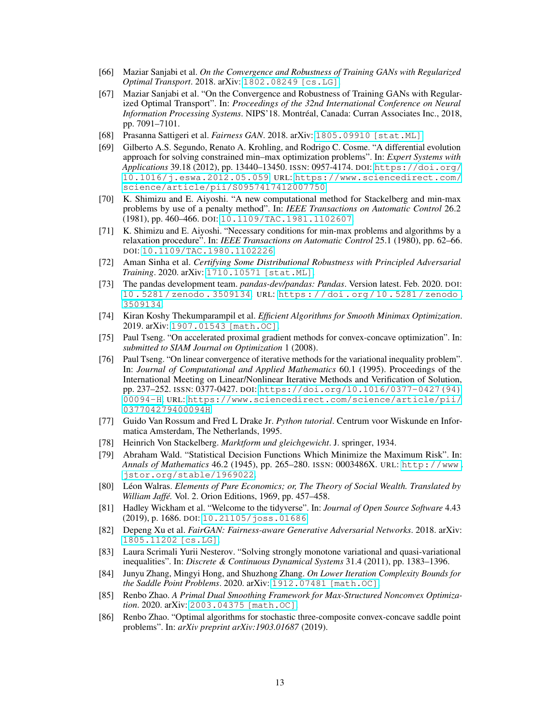- <span id="page-12-0"></span>[66] Maziar Sanjabi et al. *On the Convergence and Robustness of Training GANs with Regularized Optimal Transport*. 2018. arXiv: [1802.08249 \[cs.LG\]](https://arxiv.org/abs/1802.08249).
- <span id="page-12-19"></span>[67] Maziar Sanjabi et al. "On the Convergence and Robustness of Training GANs with Regularized Optimal Transport". In: *Proceedings of the 32nd International Conference on Neural Information Processing Systems*. NIPS'18. Montréal, Canada: Curran Associates Inc., 2018, pp. 7091–7101.
- <span id="page-12-1"></span>[68] Prasanna Sattigeri et al. *Fairness GAN*. 2018. arXiv: [1805.09910 \[stat.ML\]](https://arxiv.org/abs/1805.09910).
- <span id="page-12-9"></span>[69] Gilberto A.S. Segundo, Renato A. Krohling, and Rodrigo C. Cosme. "A differential evolution approach for solving constrained min–max optimization problems". In: *Expert Systems with Applications* 39.18 (2012), pp. 13440–13450. ISSN: 0957-4174. DOI: [https://doi.org/](https://doi.org/https://doi.org/10.1016/j.eswa.2012.05.059) [10.1016/j.eswa.2012.05.059](https://doi.org/https://doi.org/10.1016/j.eswa.2012.05.059). URL: [https://www.sciencedirect.com/](https://www.sciencedirect.com/science/article/pii/S0957417412007750) [science/article/pii/S0957417412007750](https://www.sciencedirect.com/science/article/pii/S0957417412007750).
- <span id="page-12-7"></span>[70] K. Shimizu and E. Aiyoshi. "A new computational method for Stackelberg and min-max problems by use of a penalty method". In: *IEEE Transactions on Automatic Control* 26.2 (1981), pp. 460–466. DOI: [10.1109/TAC.1981.1102607](https://doi.org/10.1109/TAC.1981.1102607).
- <span id="page-12-8"></span>[71] K. Shimizu and E. Aiyoshi. "Necessary conditions for min-max problems and algorithms by a relaxation procedure". In: *IEEE Transactions on Automatic Control* 25.1 (1980), pp. 62–66. DOI: [10.1109/TAC.1980.1102226](https://doi.org/10.1109/TAC.1980.1102226).
- <span id="page-12-3"></span>[72] Aman Sinha et al. *Certifying Some Distributional Robustness with Principled Adversarial Training*. 2020. arXiv: [1710.10571 \[stat.ML\]](https://arxiv.org/abs/1710.10571).
- <span id="page-12-11"></span>[73] The pandas development team. *pandas-dev/pandas: Pandas*. Version latest. Feb. 2020. DOI: [10 . 5281 / zenodo . 3509134](https://doi.org/10.5281/zenodo.3509134). URL: [https : / / doi . org / 10 . 5281 / zenodo .](https://doi.org/10.5281/zenodo.3509134) [3509134](https://doi.org/10.5281/zenodo.3509134).
- <span id="page-12-17"></span>[74] Kiran Koshy Thekumparampil et al. *Efficient Algorithms for Smooth Minimax Optimization*. 2019. arXiv: [1907.01543 \[math.OC\]](https://arxiv.org/abs/1907.01543).
- <span id="page-12-18"></span>[75] Paul Tseng. "On accelerated proximal gradient methods for convex-concave optimization". In: *submitted to SIAM Journal on Optimization* 1 (2008).
- <span id="page-12-13"></span>[76] Paul Tseng. "On linear convergence of iterative methods for the variational inequality problem". In: *Journal of Computational and Applied Mathematics* 60.1 (1995). Proceedings of the International Meeting on Linear/Nonlinear Iterative Methods and Verification of Solution, pp. 237–252. ISSN: 0377-0427. DOI: [https://doi.org/10.1016/0377-0427\(94\)](https://doi.org/https://doi.org/10.1016/0377-0427(94)00094-H) [00094-H](https://doi.org/https://doi.org/10.1016/0377-0427(94)00094-H). URL: [https://www.sciencedirect.com/science/article/pii/](https://www.sciencedirect.com/science/article/pii/037704279400094H) [037704279400094H](https://www.sciencedirect.com/science/article/pii/037704279400094H).
- <span id="page-12-10"></span>[77] Guido Van Rossum and Fred L Drake Jr. *Python tutorial*. Centrum voor Wiskunde en Informatica Amsterdam, The Netherlands, 1995.
- <span id="page-12-4"></span>[78] Heinrich Von Stackelberg. *Marktform und gleichgewicht*. J. springer, 1934.
- <span id="page-12-6"></span>[79] Abraham Wald. "Statistical Decision Functions Which Minimize the Maximum Risk". In: *Annals of Mathematics* 46.2 (1945), pp. 265–280. ISSN: 0003486X. URL: [http://www.](http://www.jstor.org/stable/1969022) [jstor.org/stable/1969022](http://www.jstor.org/stable/1969022).
- <span id="page-12-5"></span>[80] Léon Walras. *Elements of Pure Economics; or, The Theory of Social Wealth. Translated by William Jaffé.* Vol. 2. Orion Editions, 1969, pp. 457–458.
- <span id="page-12-12"></span>[81] Hadley Wickham et al. "Welcome to the tidyverse". In: *Journal of Open Source Software* 4.43 (2019), p. 1686. DOI: [10.21105/joss.01686](https://doi.org/10.21105/joss.01686).
- <span id="page-12-2"></span>[82] Depeng Xu et al. *FairGAN: Fairness-aware Generative Adversarial Networks*. 2018. arXiv: [1805.11202 \[cs.LG\]](https://arxiv.org/abs/1805.11202).
- <span id="page-12-14"></span>[83] Laura Scrimali Yurii Nesterov. "Solving strongly monotone variational and quasi-variational inequalities". In: *Discrete & Continuous Dynamical Systems* 31.4 (2011), pp. 1383–1396.
- <span id="page-12-15"></span>[84] Junyu Zhang, Mingyi Hong, and Shuzhong Zhang. *On Lower Iteration Complexity Bounds for the Saddle Point Problems*. 2020. arXiv: [1912.07481 \[math.OC\]](https://arxiv.org/abs/1912.07481).
- <span id="page-12-20"></span>[85] Renbo Zhao. *A Primal Dual Smoothing Framework for Max-Structured Nonconvex Optimization*. 2020. arXiv: [2003.04375 \[math.OC\]](https://arxiv.org/abs/2003.04375).
- <span id="page-12-16"></span>[86] Renbo Zhao. "Optimal algorithms for stochastic three-composite convex-concave saddle point problems". In: *arXiv preprint arXiv:1903.01687* (2019).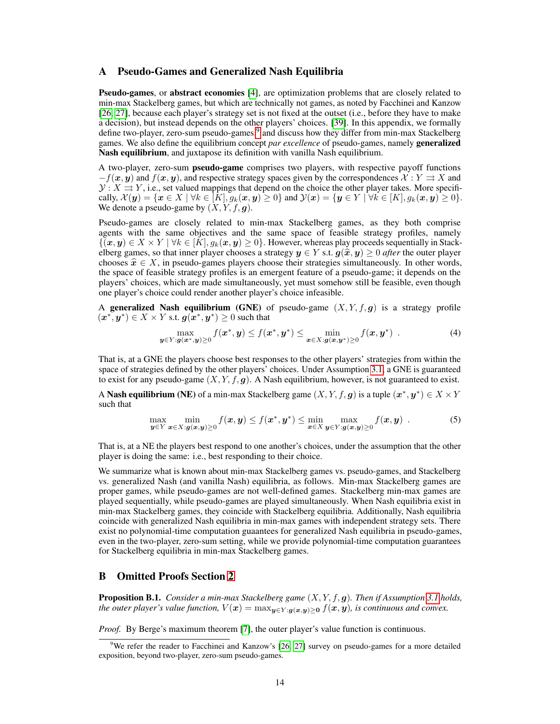## <span id="page-13-0"></span>A Pseudo-Games and Generalized Nash Equilibria

Pseudo-games, or abstract economies [\[4\]](#page-9-8), are optimization problems that are closely related to min-max Stackelberg games, but which are technically not games, as noted by Facchinei and Kanzow [\[26,](#page-10-6) [27\]](#page-10-7), because each player's strategy set is not fixed at the outset (i.e., before they have to make a decision), but instead depends on the other players' choices. [\[39\]](#page-10-15). In this appendix, we formally define two-player, zero-sum pseudo-games,<sup>[9](#page-13-1)</sup> and discuss how they differ from min-max Stackelberg games. We also define the equilibrium concept *par excellence* of pseudo-games, namely generalized Nash equilibrium, and juxtapose its definition with vanilla Nash equilibrium.

A two-player, zero-sum pseudo-game comprises two players, with respective payoff functions  $-f(x, y)$  and  $f(x, y)$ , and respective strategy spaces given by the correspondences  $\mathcal{X} : Y \rightrightarrows X$  and  $\mathcal{Y}: X \to Y$ , i.e., set valued mappings that depend on the choice the other player takes. More specifically,  $\mathcal{X}(\mathbf{y}) = \{\mathbf{x} \in X \mid \forall k \in [K], g_k(\mathbf{x}, \mathbf{y}) \ge 0\}$  and  $\mathcal{Y}(\mathbf{x}) = \{\mathbf{y} \in Y \mid \forall k \in [K], g_k(\mathbf{x}, \mathbf{y}) \ge 0\}.$ We denote a pseudo-game by  $(X, Y, f, g)$ .

Pseudo-games are closely related to min-max Stackelberg games, as they both comprise agents with the same objectives and the same space of feasible strategy profiles, namely  $\{(x, y) \in X \times Y \mid \forall k \in [K], g_k(x, y) \geq 0\}$ . However, whereas play proceeds sequentially in Stackelberg games, so that inner player chooses a strategy  $y \in Y$  s.t.  $g(\hat{x}, y) \ge 0$  *after* the outer player chooses  $\hat{x} \in X$ , in pseudo-games players choose their strategies simultaneously. In other words, the space of feasible strategy profiles is an emergent feature of a pseudo-game; it depends on the players' choices, which are made simultaneously, yet must somehow still be feasible, even though one player's choice could render another player's choice infeasible.

A generalized Nash equilibrium (GNE) of pseudo-game  $(X, Y, f, g)$  is a strategy profile  $(\boldsymbol{x}^*, \boldsymbol{y}^*) \in X \times Y$  s.t.  $\boldsymbol{g}(\boldsymbol{x}^*, \boldsymbol{y}^*) \geq 0$  such that

$$
\max_{\boldsymbol{y}\in\boldsymbol{Y}: \boldsymbol{g}(\boldsymbol{x}^*,\boldsymbol{y})\geq 0} f(\boldsymbol{x}^*,\boldsymbol{y}) \leq f(\boldsymbol{x}^*,\boldsymbol{y}^*) \leq \min_{\boldsymbol{x}\in\boldsymbol{X}: \boldsymbol{g}(\boldsymbol{x},\boldsymbol{y}^*)\geq 0} f(\boldsymbol{x},\boldsymbol{y}^*)
$$
\n(4)

That is, at a GNE the players choose best responses to the other players' strategies from within the space of strategies defined by the other players' choices. Under Assumption [3.1,](#page-4-0) a GNE is guaranteed to exist for any pseudo-game  $(X, Y, f, g)$ . A Nash equilibrium, however, is not guaranteed to exist.

A Nash equilibrium (NE) of a min-max Stackelberg game  $(X, Y, f, g)$  is a tuple  $(x^*, y^*) \in X \times Y$ such that

$$
\max_{\mathbf{y}\in Y} \min_{\mathbf{x}\in X : \mathbf{g}(\mathbf{x},\mathbf{y})\geq 0} f(\mathbf{x},\mathbf{y}) \leq f(\mathbf{x}^*,\mathbf{y}^*) \leq \min_{\mathbf{x}\in X} \max_{\mathbf{y}\in Y : \mathbf{g}(\mathbf{x},\mathbf{y})\geq 0} f(\mathbf{x},\mathbf{y})
$$
 (5)

That is, at a NE the players best respond to one another's choices, under the assumption that the other player is doing the same: i.e., best responding to their choice.

We summarize what is known about min-max Stackelberg games vs. pseudo-games, and Stackelberg vs. generalized Nash (and vanilla Nash) equilibria, as follows. Min-max Stackelberg games are proper games, while pseudo-games are not well-defined games. Stackelberg min-max games are played sequentially, while pseudo-games are played simultaneously. When Nash equilibria exist in min-max Stackelberg games, they coincide with Stackelberg equilibria. Additionally, Nash equilibria coincide with generalized Nash equilibria in min-max games with independent strategy sets. There exist no polynomial-time computation guaantees for generalized Nash equilibria in pseudo-games, even in the two-player, zero-sum setting, while we provide polynomial-time computation guarantees for Stackelberg equilibria in min-max Stackelberg games.

## B Omitted Proofs Section [2](#page-3-0)

<span id="page-13-2"></span>Proposition B.1. *Consider a min-max Stackelberg game* (X, Y, f, g)*. Then if Assumption [3.1](#page-4-0) holds, the outer player's value function,*  $V(x) = \max_{y \in Y : g(x,y) > 0} f(x,y)$ *, is continuous and convex.* 

*Proof.* By Berge's maximum theorem [\[7\]](#page-9-14), the outer player's value function is continuous.

<span id="page-13-1"></span> $9$ We refer the reader to Facchinei and Kanzow's [\[26,](#page-10-6) [27\]](#page-10-7) survey on pseudo-games for a more detailed exposition, beyond two-player, zero-sum pseudo-games.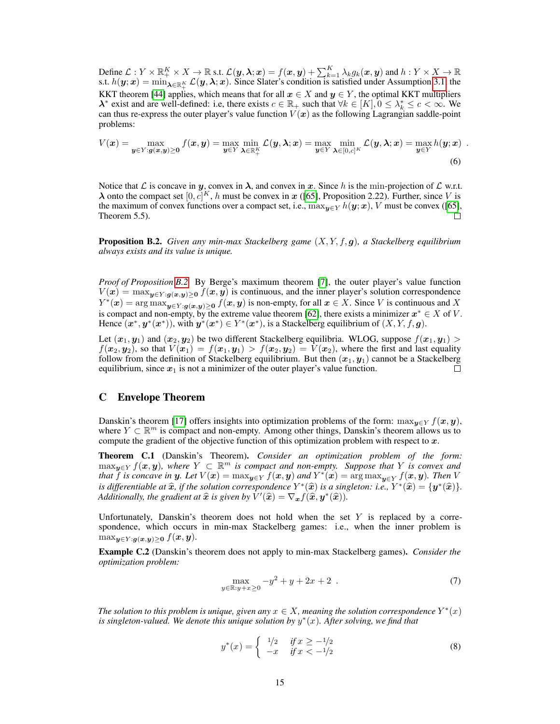Define  $\mathcal{L}:Y\times\mathbb{R}_+^K\times X\to\mathbb{R}$  s.t.  $\mathcal{L}(\bm{y},\bm{\lambda};\bm{x})=f(\bm{x},\bm{y})+\sum_{k=1}^K\lambda_kg_k(\bm{x},\bm{y})$  and  $h:Y\times X\to\mathbb{R}$ s.t.  $h(\bm{y};\bm{x}) = \min_{\bm{\lambda} \in \mathbb{R}_+^K} \mathcal{L}(\bm{y},\bm{\lambda};\bm{x})$ . Since Slater's condition is satisfied under Assumption [3.1,](#page-4-0) the KKT theorem [\[44\]](#page-11-10) applies, which means that for all  $x \in X$  and  $y \in Y$ , the optimal KKT multipliers  $\lambda^*$  exist and are well-defined: i.e, there exists  $c \in \mathbb{R}_+$  such that  $\forall k \in [K], 0 \leq \lambda_k^* \leq c < \infty$ . We can thus re-express the outer player's value function  $V(x)$  as the following Lagrangian saddle-point problems:

$$
V(\boldsymbol{x}) = \max_{\boldsymbol{y} \in Y : \boldsymbol{g}(\boldsymbol{x}, \boldsymbol{y}) \ge 0} f(\boldsymbol{x}, \boldsymbol{y}) = \max_{\boldsymbol{y} \in Y} \min_{\boldsymbol{\lambda} \in \mathbb{R}_+^K} \mathcal{L}(\boldsymbol{y}, \boldsymbol{\lambda}; \boldsymbol{x}) = \max_{\boldsymbol{y} \in Y} \min_{\boldsymbol{\lambda} \in [0, c]^K} \mathcal{L}(\boldsymbol{y}, \boldsymbol{\lambda}; \boldsymbol{x}) = \max_{\boldsymbol{y} \in Y} h(\boldsymbol{y}; \boldsymbol{x})
$$
(6)

Notice that L is concave in y, convex in  $\lambda$ , and convex in x. Since h is the min-projection of L w.r.t.  $\lambda$  onto the compact set  $[0, c]^K$ , h must be convex in x ([\[65\]](#page-11-11), Proposition 2.22). Further, since V is the maximum of convex functions over a compact set, i.e.,  $\max_{y \in Y} h(y; x)$ , V must be convex ([\[65\]](#page-11-11), Theorem 5.5).  $\Box$ 

<span id="page-14-0"></span>Proposition B.2. *Given any min-max Stackelberg game* (X, Y, f, g)*, a Stackelberg equilibrium always exists and its value is unique.*

*Proof of Proposition [B.2.](#page-14-0)* By Berge's maximum theorem [\[7\]](#page-9-14), the outer player's value function  $V(x) = \max_{y \in Y : g(x,y) > 0} f(x, y)$  is continuous, and the inner player's solution correspondence  $Y^*(x) = \arg \max_{y \in Y : g(x, y) \ge 0} f(x, y)$  is non-empty, for all  $x \in X$ . Since V is continuous and X is compact and non-empty, by the extreme value theorem [\[62\]](#page-11-12), there exists a minimizer  $x^* \in X$  of V. Hence  $(x^*, y^*(x^*))$ , with  $y^*(x^*) \in Y^*(x^*)$ , is a Stackelberg equilibrium of  $(X, Y, f, g)$ .

Let  $(x_1, y_1)$  and  $(x_2, y_2)$  be two different Stackelberg equilibria. WLOG, suppose  $f(x_1, y_1)$  $f(x_2, y_2)$ , so that  $V(x_1) = f(x_1, y_1) > f(x_2, y_2) = V(x_2)$ , where the first and last equality follow from the definition of Stackelberg equilibrium. But then  $(x_1, y_1)$  cannot be a Stackelberg equilibrium, since  $x_1$  is not a minimizer of the outer player's value function. П

## C Envelope Theorem

Danskin's theorem [\[17\]](#page-9-4) offers insights into optimization problems of the form:  $\max_{y \in Y} f(x, y)$ , where  $Y \subset \mathbb{R}^m$  is compact and non-empty. Among other things, Danskin's theorem allows us to compute the gradient of the objective function of this optimization problem with respect to  $x$ .

Theorem C.1 (Danskin's Theorem). *Consider an optimization problem of the form:* maxy∈<sup>Y</sup> f(x, y)*, where* Y ⊂ R <sup>m</sup> *is compact and non-empty. Suppose that* Y *is convex and that*  $\tilde{f}$  *is concave in y. Let*  $V(x) = \max_{y \in Y} f(x, y)$  *and*  $Y^*(x) = \argmax_{y \in Y} f(x, y)$ *. Then* V *is differentiable at*  $\hat{x}$ *, if the solution correspondence*  $Y^*(\hat{x})$  *is a singleton: i.e.*,  $Y^*(\hat{x}) = {\mathbf{y}^*(\hat{x})}$ *.*<br>Additionally the gradient at  $\hat{x}$  is given by  $V'(\hat{x}) - \nabla f(\hat{x}|\hat{x})$ *Additionally, the gradient at*  $\hat{x}$  *is given by*  $\hat{V}'(\hat{x}) = \nabla_{\bm{x}} f(\hat{x}, \bm{y}^*(\hat{x})).$ 

Unfortunately, Danskin's theorem does not hold when the set  $Y$  is replaced by a correspondence, which occurs in min-max Stackelberg games: i.e., when the inner problem is  $\max_{\boldsymbol{y} \in Y : \boldsymbol{g}(\boldsymbol{x}, \boldsymbol{y}) > 0} f(\boldsymbol{x}, \boldsymbol{y}).$ 

<span id="page-14-1"></span>Example C.2 (Danskin's theorem does not apply to min-max Stackelberg games). *Consider the optimization problem:*

$$
\max_{y \in \mathbb{R}: y + x \ge 0} -y^2 + y + 2x + 2 \tag{7}
$$

*The solution to this problem is unique, given any*  $x \in X$ *, meaning the solution correspondence*  $Y^*(x)$ *is singleton-valued. We denote this unique solution by* y ∗ (x)*. After solving, we find that*

$$
y^*(x) = \begin{cases} 1/2 & \text{if } x \ge -1/2 \\ -x & \text{if } x < -1/2 \end{cases}
$$
 (8)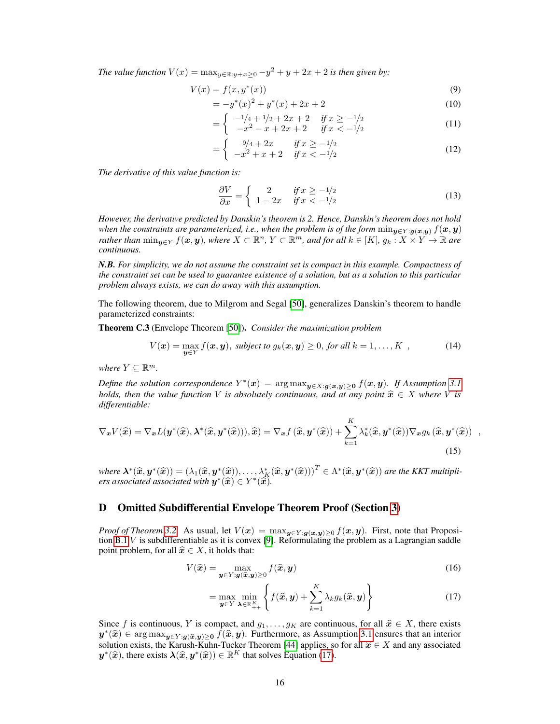*The value function*  $V(x) = \max_{y \in \mathbb{R}: y + x \geq 0} -y^2 + y + 2x + 2$  *is then given by:* 

$$
V(x) = f(x, y^*(x))
$$
\n<sup>(9)</sup>

$$
= -y^*(x)^2 + y^*(x) + 2x + 2 \tag{10}
$$

$$
= \begin{cases} -\frac{1}{4} + \frac{1}{2} + 2x + 2 & \text{if } x \ge -\frac{1}{2} \\ -x^2 - x + 2x + 2 & \text{if } x < -\frac{1}{2} \end{cases} \tag{11}
$$

$$
= \begin{cases} 9/4 + 2x & \text{if } x \ge -1/2 \\ -x^2 + x + 2 & \text{if } x < -1/2 \end{cases}
$$
 (12)

*The derivative of this value function is:*

$$
\frac{\partial V}{\partial x} = \begin{cases} 2 & \text{if } x \ge -1/2 \\ 1 - 2x & \text{if } x < -1/2 \end{cases}
$$
(13)

*However, the derivative predicted by Danskin's theorem is 2. Hence, Danskin's theorem does not hold when the constraints are parameterized, i.e., when the problem is of the form*  $min_{y \in Y : g(x,y)} f(x,y)$ *rather than*  $\min_{y \in Y} f(x, y)$ *, where*  $X \subset \mathbb{R}^n$ *,*  $Y \subset \mathbb{R}^m$ *, and for all*  $k \in [K]$ *,*  $g_k : X \times Y \to \mathbb{R}$  are *continuous.*

*N.B. For simplicity, we do not assume the constraint set is compact in this example. Compactness of the constraint set can be used to guarantee existence of a solution, but as a solution to this particular problem always exists, we can do away with this assumption.*

The following theorem, due to Milgrom and Segal [\[50\]](#page-11-3), generalizes Danskin's theorem to handle parameterized constraints:

Theorem C.3 (Envelope Theorem [\[50\]](#page-11-3)). *Consider the maximization problem*

$$
V(\boldsymbol{x}) = \max_{\boldsymbol{y} \in Y} f(\boldsymbol{x}, \boldsymbol{y}), \text{ subject to } g_k(\boldsymbol{x}, \boldsymbol{y}) \geq 0, \text{ for all } k = 1, \ldots, K \quad , \tag{14}
$$

*where*  $Y \subseteq \mathbb{R}^m$ .

*Define the solution correspondence*  $Y^*(x) = \arg \max_{y \in X : g(x,y) \geq 0} f(x,y)$ *. If Assumption* [3.1](#page-4-0) *holds, then the value function V is absolutely continuous, and at any point*  $\hat{\boldsymbol{x}} \in X$  *where V is differentiable:*

$$
\nabla_{\boldsymbol{x}} V(\hat{\boldsymbol{x}}) = \nabla_{\boldsymbol{x}} L(\boldsymbol{y}^*(\hat{\boldsymbol{x}}), \boldsymbol{\lambda}^*(\hat{\boldsymbol{x}}, \boldsymbol{y}^*(\hat{\boldsymbol{x}}))), \hat{\boldsymbol{x}}) = \nabla_{\boldsymbol{x}} f(\hat{\boldsymbol{x}}, \boldsymbol{y}^*(\hat{\boldsymbol{x}})) + \sum_{k=1}^K \lambda_k^*(\hat{\boldsymbol{x}}, \boldsymbol{y}^*(\hat{\boldsymbol{x}})) \nabla_{\boldsymbol{x}} g_k(\hat{\boldsymbol{x}}, \boldsymbol{y}^*(\hat{\boldsymbol{x}})) ,
$$
\n(15)

*where*  $\boldsymbol{\lambda}^*(\widehat{\boldsymbol{x}}, \boldsymbol{y}^*(\widehat{\boldsymbol{x}})) = (\lambda_1(\widehat{\boldsymbol{x}}, \boldsymbol{y}^*(\widehat{\boldsymbol{x}})), \dots, \lambda_K^*(\widehat{\boldsymbol{x}}, \boldsymbol{y}^*(\widehat{\boldsymbol{x}})))^T \in \Lambda^*(\widehat{\boldsymbol{x}}, \boldsymbol{y}^*(\widehat{\boldsymbol{x}}))$  are the KKT multipliers associated associated with  $\boldsymbol{y}^*(\widehat{\boldsymbol{x}}) \in Y^*(\widehat{\boldsymbol{x$ 

# D Omitted Subdifferential Envelope Theorem Proof (Section [3\)](#page-4-2)

*Proof of Theorem* [3.2.](#page-4-1) As usual, let  $V(x) = \max_{y \in Y : g(x,y) \geq 0} f(x,y)$ . First, note that Proposition [B.1](#page-13-2) V is subdifferentiable as it is convex [\[9\]](#page-9-15). Reformulating the problem as a Lagrangian saddle point problem, for all  $\hat{x} \in X$ , it holds that:

$$
V(\hat{\boldsymbol{x}}) = \max_{\boldsymbol{y} \in Y : \boldsymbol{g}(\hat{\boldsymbol{x}}, \boldsymbol{y}) \ge 0} f(\hat{\boldsymbol{x}}, \boldsymbol{y})
$$
(16)

<span id="page-15-0"></span>
$$
= \max_{\boldsymbol{y} \in Y} \min_{\boldsymbol{\lambda} \in \mathbb{R}_{++}^K} \left\{ f(\widehat{\boldsymbol{x}}, \boldsymbol{y}) + \sum_{k=1}^K \lambda_k g_k(\widehat{\boldsymbol{x}}, \boldsymbol{y}) \right\}
$$
(17)

Since f is continuous, Y is compact, and  $g_1, \ldots, g_K$  are continuous, for all  $\hat{x} \in X$ , there exists  $y^*(\hat{x}) \in \arg \max_{y \in Y : g(\hat{x}, y) \ge 0} f(\hat{x}, y)$ . Furthermore, as Assumption [3.1](#page-4-0) ensures that an interior solution oviets the Keruch Kuhn Tucker Theorem [44] englises so for all  $\hat{x} \in X$  and any associated solution exists, the Karush-Kuhn-Tucker Theorem [\[44\]](#page-11-10) applies, so for all  $\hat{x} \in X$  and any associated  $u^*(\hat{x})$  there exists  $\lambda(\hat{x}, u^*(\hat{x})) \in \mathbb{R}^K$  that solves Equation (17)  $y^*(\hat{x})$ , there exists  $\lambda(\hat{x}, y^*(\hat{x})) \in \mathbb{R}^K$  that solves Equation [\(17\)](#page-15-0).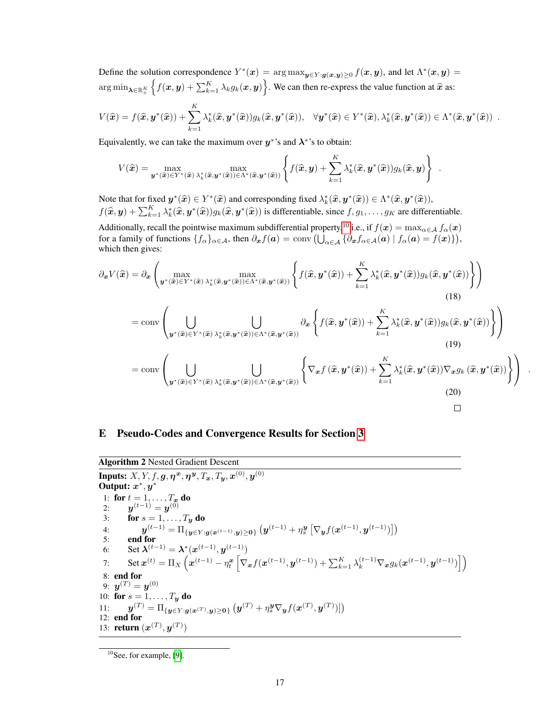Define the solution correspondence  $Y^*(x) = \arg \max_{y \in Y : g(x,y) \geq 0} f(x, y)$ , and let  $\Lambda^*(x, y) =$  $\argmin_{\boldsymbol{\lambda} \in \mathbb{R}_+^K} \left\{ f(\boldsymbol{x}, \boldsymbol{y}) + \sum_{k=1}^K \lambda_k g_k(\boldsymbol{x}, \boldsymbol{y}) \right\}$ . We can then re-express the value function at  $\widehat{\boldsymbol{x}}$  as:

$$
V(\widehat{\boldsymbol{x}}) = f(\widehat{\boldsymbol{x}}, \boldsymbol{y}^*(\widehat{\boldsymbol{x}})) + \sum_{k=1}^K \lambda_k^*(\widehat{\boldsymbol{x}}, \boldsymbol{y}^*(\widehat{\boldsymbol{x}}))g_k(\widehat{\boldsymbol{x}}, \boldsymbol{y}^*(\widehat{\boldsymbol{x}})), \quad \forall \boldsymbol{y}^*(\widehat{\boldsymbol{x}}) \in Y^*(\widehat{\boldsymbol{x}}), \lambda_k^*(\widehat{\boldsymbol{x}}, \boldsymbol{y}^*(\widehat{\boldsymbol{x}})) \in \Lambda^*(\widehat{\boldsymbol{x}}, \boldsymbol{y}^*(\widehat{\boldsymbol{x}}))
$$

Equivalently, we can take the maximum over  $y^*$ 's and  $\lambda^*$ 's to obtain:

$$
V(\widehat{\boldsymbol{x}}) = \max_{\boldsymbol{y}^*(\widehat{\boldsymbol{x}}) \in Y^*(\widehat{\boldsymbol{x}})} \max_{\lambda_k^*(\widehat{\boldsymbol{x}}, \boldsymbol{y}^*(\widehat{\boldsymbol{x}})) \in \Lambda^*(\widehat{\boldsymbol{x}}, \boldsymbol{y}^*(\widehat{\boldsymbol{x}}))} \left\{ f(\widehat{\boldsymbol{x}}, \boldsymbol{y}) + \sum_{k=1}^K \lambda_k^*(\widehat{\boldsymbol{x}}, \boldsymbol{y}^*(\widehat{\boldsymbol{x}})) g_k(\widehat{\boldsymbol{x}}, \boldsymbol{y}) \right\} .
$$

Note that for fixed  $y^*(\hat{x}) \in Y^*(\hat{x})$  and corresponding fixed  $\lambda^*_k(\hat{x}, y^*(\hat{x})) \in \Lambda^*(\hat{x}, y^*(\hat{x}))$ ,  $f(\widehat{\bm{x}}, \bm{y}) + \sum_{k=1}^{K} \lambda_k^*(\widehat{\bm{x}}, \bm{y}^*(\widehat{\bm{x}})) g_k(\widehat{\bm{x}}, \bm{y}^*(\widehat{\bm{x}}))$  is differentiable, since  $f, g_1, \ldots, g_K$  are differentiable. Additionally, recall the pointwise maximum subdifferential property,<sup>[10](#page-16-3)</sup> i.e., if  $f(\bm{x}) = \max_{\alpha \in \mathcal{A}} f_\alpha(\bm{x})$ for a family of functions  $\{f_{\alpha}\}_{\alpha \in \mathcal{A}}$ , then  $\partial_{\boldsymbol{x}}f(\boldsymbol{a}) = \text{conv}\left(\bigcup_{\alpha \in \mathcal{A}}\left\{\partial_{\boldsymbol{x}}f_{\alpha \in \mathcal{A}}(\boldsymbol{a}) \mid f_{\alpha}(\boldsymbol{a}) = f(\boldsymbol{x})\right\}\right)$ ,

which then gives:

$$
\partial_{\boldsymbol{x}}V(\hat{\boldsymbol{x}}) = \partial_{\boldsymbol{x}}\left(\max_{\boldsymbol{y}^{\ast}(\hat{\boldsymbol{x}})\in Y^{\ast}(\hat{\boldsymbol{x}})}\max_{\lambda_{k}^{\ast}(\hat{\boldsymbol{x}},\boldsymbol{y}^{\ast}(\hat{\boldsymbol{x}}))\in\Lambda^{\ast}(\hat{\boldsymbol{x}},\boldsymbol{y}^{\ast}(\hat{\boldsymbol{x}}))}\left\{f(\hat{\boldsymbol{x}},\boldsymbol{y}^{\ast}(\hat{\boldsymbol{x}})) + \sum_{k=1}^{K}\lambda_{k}^{\ast}(\hat{\boldsymbol{x}},\boldsymbol{y}^{\ast}(\hat{\boldsymbol{x}}))g_{k}(\hat{\boldsymbol{x}},\boldsymbol{y}^{\ast}(\hat{\boldsymbol{x}}))\right\}\right) (18)
$$
\n
$$
= \text{conv}\left(\bigcup_{\boldsymbol{y}^{\ast}(\hat{\boldsymbol{x}})\in Y^{\ast}(\hat{\boldsymbol{x}})}\bigcup_{\lambda_{k}^{\ast}(\hat{\boldsymbol{x}},\boldsymbol{y}^{\ast}(\hat{\boldsymbol{x}}))\in\Lambda^{\ast}(\hat{\boldsymbol{x}},\boldsymbol{y}^{\ast}(\hat{\boldsymbol{x}}))}\partial_{\boldsymbol{x}}\left\{f(\hat{\boldsymbol{x}},\boldsymbol{y}^{\ast}(\hat{\boldsymbol{x}})) + \sum_{k=1}^{K}\lambda_{k}^{\ast}(\hat{\boldsymbol{x}},\boldsymbol{y}^{\ast}(\hat{\boldsymbol{x}}))g_{k}(\hat{\boldsymbol{x}},\boldsymbol{y}^{\ast}(\hat{\boldsymbol{x}}))\right\}\right)
$$
\n
$$
= \text{conv}\left(\bigcup_{\boldsymbol{y}^{\ast}(\hat{\boldsymbol{x}})\in Y^{\ast}(\hat{\boldsymbol{x}})}\bigcup_{\lambda_{k}^{\ast}(\hat{\boldsymbol{x}},\boldsymbol{y}^{\ast}(\hat{\boldsymbol{x}}))\in\Lambda^{\ast}(\hat{\boldsymbol{x}},\boldsymbol{y}^{\ast}(\hat{\boldsymbol{x}}))}\left\{\nabla_{\boldsymbol{x}}f(\hat{\boldsymbol{x}},\boldsymbol{y}^{\ast}(\hat{\boldsymbol{x}})) + \sum_{k=1}^{K}\lambda_{k}^{\ast}(\hat{\boldsymbol{x}},\boldsymbol{y}^{\ast}(\hat{\boldsymbol{x}}))\nabla_{\boldsymbol{x}}g_{k}(\hat{\boldsymbol{x}},\boldsymbol{y}^{\ast}(\hat{\boldsymbol{x}}))\right\}\right)
$$
\n
$$
(19)
$$
\n
$$
= \
$$

# <span id="page-16-1"></span>E Pseudo-Codes and Convergence Results for Section [3](#page-4-2)

<span id="page-16-0"></span>Algorithm 2 Nested Gradient Descent  
\nInputStream="\n
$$
Inputs: X, Y, f, g, \eta^x, \eta^y, T_x, T_y, x^{(0)}, y^{(0)}
$$
\nOutput:  $x^*, y^*$   
\n1: for  $t = 1, ..., T_x$  do  
\n2:  $y^{(t-1)} = y^{(0)}$   
\n3: for  $s = 1, ..., T_y$  do  
\n4:  $y^{(t-1)} = \Pi_{\{y \in Y : g(x^{(t-1)}, y) \ge 0\}} (y^{(t-1)} + \eta_s^y [\nabla_y f(x^{(t-1)}, y^{(t-1)})])$   
\n5: end for  
\n6: Set  $\lambda^{(t-1)} = \lambda^*(x^{(t-1)}, y^{(t-1)})$   
\n7: Set  $x^{(t)} = \Pi_X (x^{(t-1)} - \eta_t^x [\nabla_x f(x^{(t-1)}, y^{(t-1)}) + \sum_{k=1}^K \lambda_k^{(t-1)} \nabla_x g_k(x^{(t-1)}, y^{(t-1)})])$   
\n8: end for  
\n9:  $y^{(T)} = y^{(0)}$   
\n10: for  $s = 1, ..., T_y$  do  
\n11:  $y^{(T)} = \Pi_{\{y \in Y : g(x^{(T)}, y) \ge 0\}} (y^{(T)} + \eta_s^y \nabla_y f(x^{(T)}, y^{(T)})])$   
\n12: end for  
\n13: return  $(x^{(T)}, y^{(T)})$ 

<span id="page-16-3"></span><span id="page-16-2"></span><sup>&</sup>lt;sup>10</sup>See, for example, [\[9\]](#page-9-15).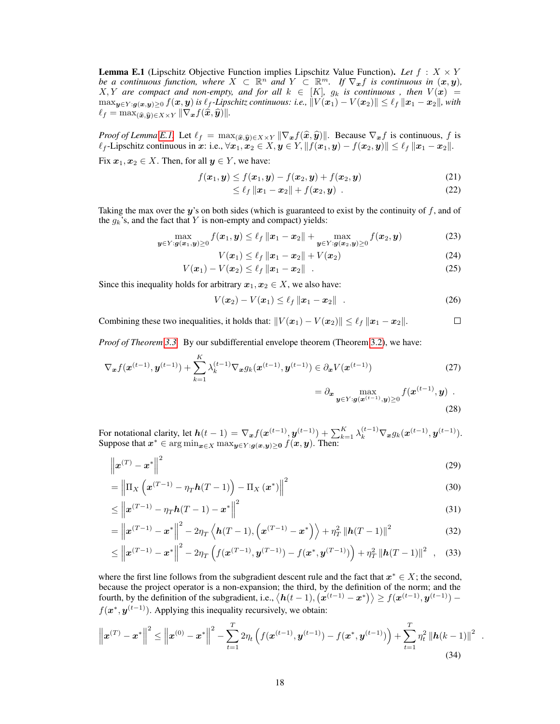**Lemma E.1** (Lipschitz Objective Function implies Lipschitz Value Function). Let  $f : X \times Y$ *be a continuous function, where*  $X \subset \mathbb{R}^n$  *and*  $Y \subset \mathbb{R}^m$ *. If*  $\nabla_x f$  *is continuous in*  $(x, y)$ *,*  $X, Y$  are compact and non-empty, and for all  $k \in [K]$ ,  $g_k$  is continuous, then  $V(\boldsymbol{x}) =$  $\max_{\mathbf{y}\in Y: \mathbf{g}(\mathbf{x},\mathbf{y})>0} f(\mathbf{x},\mathbf{y})$  *is*  $\ell_f$ -Lipschitz continuous: i.e.,  $\|\overline{V}(\mathbf{x}_1) - V(\mathbf{x}_2)\| \leq \ell_f \|\mathbf{x}_1 - \mathbf{x}_2\|$ , with  $\ell_f = \max_{(\widehat{\mathbf{x}}, \widehat{\mathbf{y}}) \in X \times Y} \|\nabla_{\mathbf{x}}f(\widehat{\mathbf{x}}, \widehat{\mathbf{y}})\|.$ 

*Proof of Lemma [E.1.](#page-16-2)* Let  $\ell_f = \max_{(\widehat{x}, \widehat{y}) \in X \times Y} ||\nabla_x f(\widehat{x}, \widehat{y})||$ . Because  $\nabla_x f$  is continuous, f is  $\ell_f$ -Lipschitz continuous in x: i.e.,  $\forall x_1, x_2 \in X, y \in Y, ||f(x_1, y) - f(x_2, y)|| \leq \ell_f ||x_1 - x_2||.$ 

Fix  $x_1, x_2 \in X$ . Then, for all  $y \in Y$ , we have:

$$
f(x_1, y) \le f(x_1, y) - f(x_2, y) + f(x_2, y)
$$
 (21)

$$
\leq \ell_f \|x_1 - x_2\| + f(x_2, y) \tag{22}
$$

Taking the max over the  $y$ 's on both sides (which is guaranteed to exist by the continuity of  $f$ , and of the  $g_k$ 's, and the fact that Y is non-empty and compact) yields:

$$
\max_{\boldsymbol{y}\in\boldsymbol{Y}: \boldsymbol{g}(\boldsymbol{x}_1,\boldsymbol{y})\geq 0} f(\boldsymbol{x}_1,\boldsymbol{y}) \leq \ell_f \|\boldsymbol{x}_1-\boldsymbol{x}_2\| + \max_{\boldsymbol{y}\in\boldsymbol{Y}: \boldsymbol{g}(\boldsymbol{x}_2,\boldsymbol{y})\geq 0} f(\boldsymbol{x}_2,\boldsymbol{y})
$$
(23)

$$
V(x_1) \leq \ell_f \|x_1 - x_2\| + V(x_2)
$$
\n(24)

$$
V(x_1) - V(x_2) \le \ell_f \|x_1 - x_2\| \quad . \tag{25}
$$

Since this inequality holds for arbitrary  $x_1, x_2 \in X$ , we also have:

$$
V(\boldsymbol{x}_2) - V(\boldsymbol{x}_1) \le \ell_f \|\boldsymbol{x}_1 - \boldsymbol{x}_2\| \quad . \tag{26}
$$

Combining these two inequalities, it holds that:  $||V(x_1) - V(x_2)|| \leq \ell_f ||x_1 - x_2||$ .  $\Box$ 

*Proof of Theorem [3.3.](#page-5-3)* By our subdifferential envelope theorem (Theorem [3.2\)](#page-4-1), we have:

$$
\nabla_{\boldsymbol{x}} f(\boldsymbol{x}^{(t-1)}, \boldsymbol{y}^{(t-1)}) + \sum_{k=1}^{K} \lambda_k^{(t-1)} \nabla_{\boldsymbol{x}} g_k(\boldsymbol{x}^{(t-1)}, \boldsymbol{y}^{(t-1)}) \in \partial_{\boldsymbol{x}} V(\boldsymbol{x}^{(t-1)})
$$
\n
$$
= \partial_{\boldsymbol{x}} \max_{\boldsymbol{y} \in Y : \boldsymbol{g}(\boldsymbol{x}^{(t-1)}, \boldsymbol{y}) \ge 0} f(\boldsymbol{x}^{(t-1)}, \boldsymbol{y}) .
$$
\n(27)

$$
(28)
$$

.

For notational clarity, let  $h(t-1) = \nabla_{\bm{x}} f(\bm{x}^{(t-1)}, \bm{y}^{(t-1)}) + \sum_{k=1}^{K} \lambda_k^{(t-1)} \nabla_{\bm{x}} g_k(\bm{x}^{(t-1)}, \bm{y}^{(t-1)}).$ Suppose that  $x^* \in \argmin_{x \in X} \max_{y \in Y : g(x, y) \geq 0} f(x, y)$ . Then:

$$
\left\| \boldsymbol{x}^{(T)} - \boldsymbol{x}^* \right\|^2 \tag{29}
$$

$$
= \left\| \Pi_X \left( \boldsymbol{x}^{(T-1)} - \eta_T \boldsymbol{h} (T-1) \right) - \Pi_X \left( \boldsymbol{x}^* \right) \right\|^2 \tag{30}
$$

$$
\leq \left\| x^{(T-1)} - \eta_T h(T-1) - x^* \right\|^2 \tag{31}
$$

$$
= \left\| \boldsymbol{x}^{(T-1)} - \boldsymbol{x}^* \right\|^2 - 2\eta_T \left\langle \boldsymbol{h}(T-1), \left( \boldsymbol{x}^{(T-1)} - \boldsymbol{x}^* \right) \right\rangle + \eta_T^2 \left\| \boldsymbol{h}(T-1) \right\|^2 \tag{32}
$$

$$
\leq \left\| \boldsymbol{x}^{(T-1)} - \boldsymbol{x}^* \right\|^2 - 2\eta_T \left( f(\boldsymbol{x}^{(T-1)}, \boldsymbol{y}^{(T-1)}) - f(\boldsymbol{x}^*, \boldsymbol{y}^{(T-1)}) \right) + \eta_T^2 \left\| \boldsymbol{h}(T-1) \right\|^2 , \quad (33)
$$

where the first line follows from the subgradient descent rule and the fact that  $x^* \in X$ ; the second, because the project operator is a non-expansion; the third, by the definition of the norm; and the fourth, by the definition of the subgradient, i.e.,  $\langle h(t-1), (\mathbf{x}^{(t-1)} - \mathbf{x}^*) \rangle \ge f(\mathbf{x}^{(t-1)}, \mathbf{y}^{(t-1)})$  $f(\mathbf{x}^*, \mathbf{y}^{(t-1)})$ . Applying this inequality recursively, we obtain:

$$
\left\| \boldsymbol{x}^{(T)} - \boldsymbol{x}^* \right\|^2 \leq \left\| \boldsymbol{x}^{(0)} - \boldsymbol{x}^* \right\|^2 - \sum_{t=1}^T 2\eta_t \left( f(\boldsymbol{x}^{(t-1)}, \boldsymbol{y}^{(t-1)}) - f(\boldsymbol{x}^*, \boldsymbol{y}^{(t-1)}) \right) + \sum_{t=1}^T \eta_t^2 \left\| \boldsymbol{h}(k-1) \right\|^2
$$
\n(34)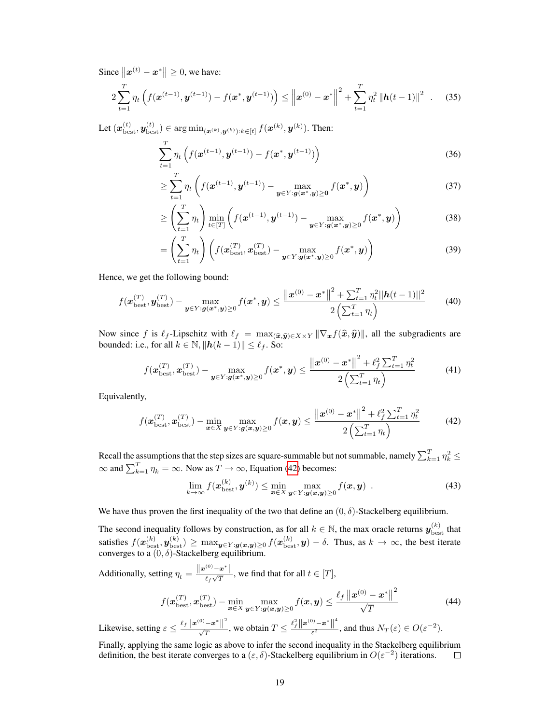Since  $||x^{(t)} - x^*|| \ge 0$ , we have:

$$
2\sum_{t=1}^{T} \eta_t \left( f(\mathbf{x}^{(t-1)}, \mathbf{y}^{(t-1)}) - f(\mathbf{x}^*, \mathbf{y}^{(t-1)}) \right) \leq \left\| \mathbf{x}^{(0)} - \mathbf{x}^* \right\|^2 + \sum_{t=1}^{T} \eta_t^2 \left\| \mathbf{h}(t-1) \right\|^2 \quad . \tag{35}
$$

Let  $(\boldsymbol{x}_{\text{best}}^{(t)}, \boldsymbol{y}_{\text{best}}^{(t)}) \in \argmin_{(\boldsymbol{x}^{(k)}, \boldsymbol{y}^{(k)}): k \in [t]} f(\boldsymbol{x}^{(k)}, \boldsymbol{y}^{(k)}).$  Then:

$$
\sum_{t=1}^{T} \eta_t \left( f(\boldsymbol{x}^{(t-1)}, \boldsymbol{y}^{(t-1)}) - f(\boldsymbol{x}^*, \boldsymbol{y}^{(t-1)}) \right)
$$
(36)

$$
\geq \sum_{t=1}^{T} \eta_t \left( f(\boldsymbol{x}^{(t-1)}, \boldsymbol{y}^{(t-1)}) - \max_{\boldsymbol{y} \in Y : \boldsymbol{g}(\boldsymbol{x}^*, \boldsymbol{y}) \geq \boldsymbol{0}} f(\boldsymbol{x}^*, \boldsymbol{y}) \right) \tag{37}
$$

$$
\geq \left(\sum_{t=1}^T \eta_t\right) \min_{t \in [T]} \left(f(\boldsymbol{x}^{(t-1)}, \boldsymbol{y}^{(t-1)}) - \max_{\boldsymbol{y} \in Y : \boldsymbol{g}(\boldsymbol{x}^*, \boldsymbol{y}) \geq 0} f(\boldsymbol{x}^*, \boldsymbol{y})\right) \tag{38}
$$

$$
= \left(\sum_{t=1}^{T} \eta_t\right) \left(f(\boldsymbol{x}_{\text{best}}^{(T)}, \boldsymbol{x}_{\text{best}}^{(T)}) - \max_{\boldsymbol{y} \in Y : \boldsymbol{g}(\boldsymbol{x}^*, \boldsymbol{y}) \ge 0} f(\boldsymbol{x}^*, \boldsymbol{y})\right)
$$
(39)

Hence, we get the following bound:

$$
f(\mathbf{x}_{\text{best}}^{(T)}, \mathbf{y}_{\text{best}}^{(T)}) - \max_{\mathbf{y} \in Y : \mathbf{g}(\mathbf{x}^*, \mathbf{y}) \ge 0} f(\mathbf{x}^*, \mathbf{y}) \le \frac{\|\mathbf{x}^{(0)} - \mathbf{x}^*\|^2 + \sum_{t=1}^T \eta_t^2 \|\mathbf{h}(t-1)\|^2}{2\left(\sum_{t=1}^T \eta_t\right)}
$$
(40)

Now since f is  $\ell_f$ -Lipschitz with  $\ell_f = \max_{(\widehat{x}, \widehat{y}) \in X \times Y} ||\nabla_x f(\widehat{x}, \widehat{y})||$ , all the subgradients are bounded: i.e., for all  $k \in \mathbb{N}$ ,  $||h(k - 1)|| \leq \ell_f$ . So:

$$
f(\mathbf{x}_{\text{best}}^{(T)}, \mathbf{x}_{\text{best}}^{(T)}) - \max_{\mathbf{y} \in Y : \mathbf{g}(\mathbf{x}^*, \mathbf{y}) \ge 0} f(\mathbf{x}^*, \mathbf{y}) \le \frac{\left\| \mathbf{x}^{(0)} - \mathbf{x}^* \right\|^2 + \ell_f^2 \sum_{t=1}^T \eta_t^2}{2\left(\sum_{t=1}^T \eta_t\right)}
$$
(41)

Equivalently,

$$
f(\boldsymbol{x}_{\text{best}}^{(T)}, \boldsymbol{x}_{\text{best}}^{(T)}) - \min_{\boldsymbol{x} \in X} \max_{\boldsymbol{y} \in Y : \boldsymbol{g}(\boldsymbol{x}, \boldsymbol{y}) \ge 0} f(\boldsymbol{x}, \boldsymbol{y}) \le \frac{\left\| \boldsymbol{x}^{(0)} - \boldsymbol{x}^* \right\|^2 + \ell_f^2 \sum_{t=1}^T \eta_t^2}{2 \left( \sum_{t=1}^T \eta_t \right)}
$$
(42)

Recall the assumptions that the step sizes are square-summable but not summable, namely  $\sum_{k=1}^{T} \eta_k^2 \leq$  $\infty$  and  $\sum_{k=1}^{T} \eta_k = \infty$ . Now as  $T \to \infty$ , Equation [\(42\)](#page-18-1) becomes:

<span id="page-18-1"></span>
$$
\lim_{k \to \infty} f(\boldsymbol{x}_{\text{best}}^{(k)}, \boldsymbol{y}^{(k)}) \le \min_{\boldsymbol{x} \in X} \max_{\boldsymbol{y} \in Y : \boldsymbol{g}(\boldsymbol{x}, \boldsymbol{y}) \ge 0} f(\boldsymbol{x}, \boldsymbol{y}) \tag{43}
$$

We have thus proven the first inequality of the two that define an  $(0, \delta)$ -Stackelberg equilibrium.

The second inequality follows by construction, as for all  $k \in \mathbb{N}$ , the max oracle returns  $y_{\text{best}}^{(k)}$  that satisfies  $f(\boldsymbol{x}_{\text{best}}^{(k)}, \boldsymbol{y}_{\text{best}}^{(k)}) \ge \max_{\boldsymbol{y} \in Y : \boldsymbol{g}(\boldsymbol{x}, \boldsymbol{y}) \ge 0} f(\boldsymbol{x}_{\text{best}}^{(k)}, \boldsymbol{y}) - \delta$ . Thus, as  $k \to \infty$ , the best iterate converges to a  $(0, \delta)$ -Stackelberg equilibrium.

Additionally, setting  $\eta_t = \frac{\Vert \boldsymbol{x}^{(0)} - \boldsymbol{x}^* \Vert}{\int_{\mathcal{S}} \sqrt{T}}$  $\frac{f(x)-x}{f(x)\sqrt{T}}$ , we find that for all  $t \in [T]$ ,

$$
f(\boldsymbol{x}_{\text{best}}^{(T)}, \boldsymbol{x}_{\text{best}}^{(T)}) - \min_{\boldsymbol{x} \in X} \max_{\boldsymbol{y} \in Y : \boldsymbol{g}(\boldsymbol{x}, \boldsymbol{y}) \ge 0} f(\boldsymbol{x}, \boldsymbol{y}) \le \frac{\ell_f \left\| \boldsymbol{x}^{(0)} - \boldsymbol{x}^* \right\|^2}{\sqrt{T}} \tag{44}
$$

Likewise, setting  $\varepsilon \leq \frac{\ell_f ||x^{(0)} - x^*||^2}{\sqrt{T}}$ , we obtain  $T \leq \frac{\ell_f^2 ||x^{(0)} - x^*||}{\varepsilon^2}$  $\frac{\partial^2 - \mathbf{x}}{\partial \varepsilon^2}$ , and thus  $N_T(\varepsilon) \in O(\varepsilon^{-2})$ .

<span id="page-18-0"></span>Finally, applying the same logic as above to infer the second inequality in the Stackelberg equilibrium definition, the best iterate converges to a  $(\varepsilon, \delta)$ -Stackelberg equilibrium in  $O(\varepsilon^{-2})$  iterations.  $\Box$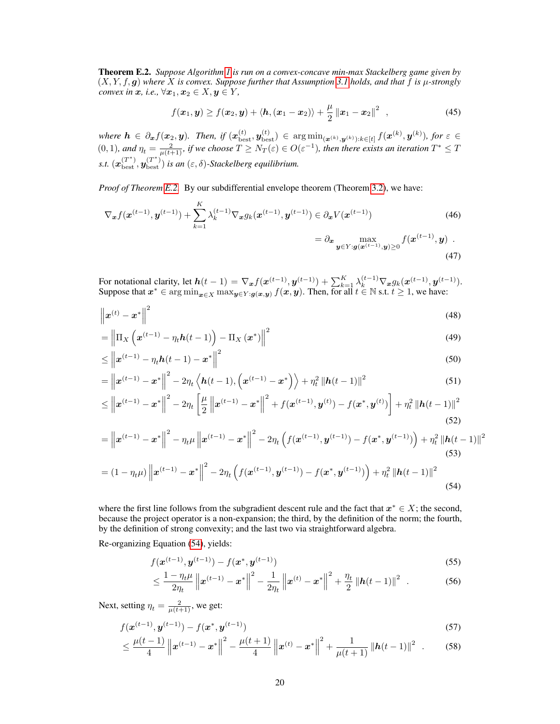Theorem E.2. *Suppose Algorithm [1](#page-5-0) is run on a convex-concave min-max Stackelberg game given by*  $(X, Y, f, g)$  where X is convex. Suppose further that Assumption [3.1](#page-4-0) holds, and that f is  $\mu$ -strongly *convex in*  $x$ *, i.e.*,  $\forall x_1, x_2 \in X, y \in Y$ *,* 

$$
f(\mathbf{x}_1, \mathbf{y}) \ge f(\mathbf{x}_2, \mathbf{y}) + \langle \mathbf{h}, (\mathbf{x}_1 - \mathbf{x}_2) \rangle + \frac{\mu}{2} ||\mathbf{x}_1 - \mathbf{x}_2||^2 , \qquad (45)
$$

 $where h \in \partial_{\boldsymbol{x}} f(\boldsymbol{x}_2, \boldsymbol{y}).$  Then, if  $(\boldsymbol{x}_{\text{best}}^{(t)}, \boldsymbol{y}_{\text{best}}^{(t)}) \in \argmin_{(\boldsymbol{x}^{(k)}, \boldsymbol{y}^{(k)}) : k \in [t]} f(\boldsymbol{x}^{(k)}, \boldsymbol{y}^{(k)}),$  for  $\varepsilon \in$  $(0,1)$ , and  $\eta_t = \frac{2}{\mu(t+1)}$ , if we choose  $T \geq N_T(\varepsilon) \in O(\varepsilon^{-1})$ , then there exists an iteration  $T^* \leq T$ *s.t.*  $(x_{\text{best}}^{(T^*)}, y_{\text{best}}^{(T^*)})$  *is an*  $(\varepsilon, \delta)$ -*Stackelberg equilibrium.* 

*Proof of Theorem [E.2.](#page-18-0)* By our subdifferential envelope theorem (Theorem [3.2\)](#page-4-1), we have:

$$
\nabla_{\boldsymbol{x}} f(\boldsymbol{x}^{(t-1)}, \boldsymbol{y}^{(t-1)}) + \sum_{k=1}^{K} \lambda_k^{(t-1)} \nabla_{\boldsymbol{x}} g_k(\boldsymbol{x}^{(t-1)}, \boldsymbol{y}^{(t-1)}) \in \partial_{\boldsymbol{x}} V(\boldsymbol{x}^{(t-1)})
$$
\n
$$
= \partial_{\boldsymbol{x}} \max_{\boldsymbol{y} \in Y : g(\boldsymbol{x}^{(t-1)}, \boldsymbol{y}) \ge 0} f(\boldsymbol{x}^{(t-1)}, \boldsymbol{y}) .
$$
\n(47)

For notational clarity, let  $h(t-1) = \nabla_{\bm{x}} f(\bm{x}^{(t-1)}, \bm{y}^{(t-1)}) + \sum_{k=1}^{K} \lambda_k^{(t-1)} \nabla_{\bm{x}} g_k(\bm{x}^{(t-1)}, \bm{y}^{(t-1)}).$ Suppose that  $x^* \in \arg\min_{x \in X} \max_{y \in Y : g(x, y)} f(x, y)$ . Then, for all  $t \in \mathbb{N}$  s.t.  $t \geq 1$ , we have:

$$
\left\| \boldsymbol{x}^{(t)} - \boldsymbol{x}^* \right\|^2 \tag{48}
$$

$$
= \left\| \Pi_X \left( \boldsymbol{x}^{(t-1)} - \eta_t \boldsymbol{h}(t-1) \right) - \Pi_X \left( \boldsymbol{x}^* \right) \right\|^2 \tag{49}
$$

$$
\leq \left\| x^{(t-1)} - \eta_t h(t-1) - x^* \right\|^2 \tag{50}
$$

$$
= \left\| \boldsymbol{x}^{(t-1)} - \boldsymbol{x}^* \right\|^2 - 2\eta_t \left\langle \boldsymbol{h}(t-1), \left( \boldsymbol{x}^{(t-1)} - \boldsymbol{x}^* \right) \right\rangle + \eta_t^2 \left\| \boldsymbol{h}(t-1) \right\|^2 \tag{51}
$$

$$
\leq \left\| \boldsymbol{x}^{(t-1)} - \boldsymbol{x}^* \right\|^2 - 2\eta_t \left[ \frac{\mu}{2} \left\| \boldsymbol{x}^{(t-1)} - \boldsymbol{x}^* \right\|^2 + f(\boldsymbol{x}^{(t-1)}, \boldsymbol{y}^{(t)}) - f(\boldsymbol{x}^*, \boldsymbol{y}^{(t)}) \right] + \eta_t^2 \left\| \boldsymbol{h}(t-1) \right\|^2 \tag{52}
$$

$$
= \left\| \boldsymbol{x}^{(t-1)} - \boldsymbol{x}^* \right\|^2 - \eta_t \mu \left\| \boldsymbol{x}^{(t-1)} - \boldsymbol{x}^* \right\|^2 - 2\eta_t \left( f(\boldsymbol{x}^{(t-1)}, \boldsymbol{y}^{(t-1)}) - f(\boldsymbol{x}^*, \boldsymbol{y}^{(t-1)}) \right) + \eta_t^2 \left\| \boldsymbol{h}(t-1) \right\|^2
$$
\n(53)

$$
= (1 - \eta_t \mu) \| \mathbf{x}^{(t-1)} - \mathbf{x}^* \|^2 - 2\eta_t \left( f(\mathbf{x}^{(t-1)}, \mathbf{y}^{(t-1)}) - f(\mathbf{x}^*, \mathbf{y}^{(t-1)}) \right) + \eta_t^2 \| \mathbf{h}(t-1) \|^2
$$
\n(54)

where the first line follows from the subgradient descent rule and the fact that  $x^* \in X$ ; the second, because the project operator is a non-expansion; the third, by the definition of the norm; the fourth, by the definition of strong convexity; and the last two via straightforward algebra.

Re-organizing Equation [\(54\)](#page-19-0), yields:

<span id="page-19-0"></span>
$$
f(\mathbf{x}^{(t-1)}, \mathbf{y}^{(t-1)}) - f(\mathbf{x}^*, \mathbf{y}^{(t-1)})
$$
\n(55)

$$
\leq \frac{1-\eta_t\mu}{2\eta_t} \left\| \boldsymbol{x}^{(t-1)} - \boldsymbol{x}^* \right\|^2 - \frac{1}{2\eta_t} \left\| \boldsymbol{x}^{(t)} - \boldsymbol{x}^* \right\|^2 + \frac{\eta_t}{2} \left\| \boldsymbol{h}(t-1) \right\|^2 \tag{56}
$$

Next, setting  $\eta_t = \frac{2}{\mu(t+1)}$ , we get:

$$
f(\mathbf{x}^{(t-1)}, \mathbf{y}^{(t-1)}) - f(\mathbf{x}^*, \mathbf{y}^{(t-1)})
$$
\n(57)

$$
\leq \frac{\mu(t-1)}{4} \left\| \boldsymbol{x}^{(t-1)} - \boldsymbol{x}^* \right\|^2 - \frac{\mu(t+1)}{4} \left\| \boldsymbol{x}^{(t)} - \boldsymbol{x}^* \right\|^2 + \frac{1}{\mu(t+1)} \left\| \boldsymbol{h}(t-1) \right\|^2 \tag{58}
$$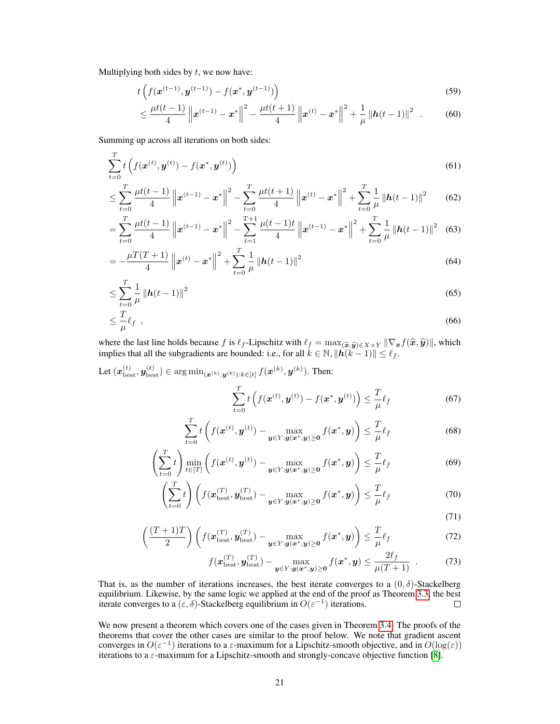Multiplying both sides by  $t$ , we now have:

$$
t\left(f(\mathbf{x}^{(t-1)}, \mathbf{y}^{(t-1)}) - f(\mathbf{x}^*, \mathbf{y}^{(t-1)})\right) \tag{59}
$$

$$
\leq \frac{\mu t(t-1)}{4}\left\|\boldsymbol{x}^{(t-1)}-\boldsymbol{x}^*\right\|^2 - \frac{\mu t(t+1)}{4}\left\|\boldsymbol{x}^{(t)}-\boldsymbol{x}^*\right\|^2 + \frac{1}{\mu}\left\|\boldsymbol{h}(t-1)\right\|^2\tag{60}
$$

Summing up across all iterations on both sides:

$$
\sum_{t=0}^{T} t\left(f(\boldsymbol{x}^{(t)}, \boldsymbol{y}^{(t)}) - f(\boldsymbol{x}^*, \boldsymbol{y}^{(t)})\right)
$$
\n(61)

$$
\leq \sum_{t=0}^{T} \frac{\mu t(t-1)}{4} \left\| \boldsymbol{x}^{(t-1)} - \boldsymbol{x}^* \right\|^2 - \sum_{t=0}^{T} \frac{\mu t(t+1)}{4} \left\| \boldsymbol{x}^{(t)} - \boldsymbol{x}^* \right\|^2 + \sum_{t=0}^{T} \frac{1}{\mu} \left\| \boldsymbol{h}(t-1) \right\|^2 \tag{62}
$$

$$
= \sum_{t=0}^{T} \frac{\mu t(t-1)}{4} \left\| \boldsymbol{x}^{(t-1)} - \boldsymbol{x}^* \right\|^2 - \sum_{t=1}^{T+1} \frac{\mu(t-1)t}{4} \left\| \boldsymbol{x}^{(t-1)} - \boldsymbol{x}^* \right\|^2 + \sum_{t=0}^{T} \frac{1}{\mu} \left\| \boldsymbol{h}(t-1) \right\|^2 \tag{63}
$$

$$
= -\frac{\mu T(T+1)}{4} \left\| \boldsymbol{x}^{(t)} - \boldsymbol{x}^* \right\|^2 + \sum_{t=0}^T \frac{1}{\mu} \left\| \boldsymbol{h}(t-1) \right\|^2 \tag{64}
$$

$$
\leq \sum_{t=0}^{T} \frac{1}{\mu} \left\| \mathbf{h}(t-1) \right\|^2 \tag{65}
$$

$$
\leq \frac{T}{\mu}\ell_f \quad , \tag{66}
$$

where the last line holds because f is  $\ell_f$ -Lipschitz with  $\ell_f = \max_{(\widehat{x}, \widehat{y}) \in X \times Y} ||\nabla_x f(\widehat{x}, \widehat{y})||$ , which implies that all the subgradients are bounded: i.e., for all  $k \in \mathbb{N}$ ,  $||\mathbf{h}(k-1)|| \leq \ell_f$ .

Let  $(\boldsymbol{x}_{\text{best}}^{(t)}, \boldsymbol{y}_{\text{best}}^{(t)}) \in \argmin_{(\boldsymbol{x}^{(k)}, \boldsymbol{y}^{(k)}): k \in [t]} f(\boldsymbol{x}^{(k)}, \boldsymbol{y}^{(k)}).$  Then:  $\sum_{i=1}^{T}$  $t\left(f(\boldsymbol{x}^{(t)}, \boldsymbol{y}^{(t)}) - f(\boldsymbol{x}^*, \boldsymbol{y}^{(t)})\right) \leq \frac{T}{\tau}$  $\mu$ 

$$
\sum_{t=0}^{T} t \left( f(\boldsymbol{x}^{(t)}, \boldsymbol{y}^{(t)}) - \max_{\boldsymbol{y} \in Y : \boldsymbol{g}(\boldsymbol{x}^*, \boldsymbol{y}) \ge 0} f(\boldsymbol{x}^*, \boldsymbol{y}) \right) \le \frac{T}{\mu} \ell_f \tag{68}
$$

$$
\left(\sum_{t=0}^{T} t\right) \min_{t \in [T]} \left( f(\boldsymbol{x}^{(t)}, \boldsymbol{y}^{(t)}) - \max_{\boldsymbol{y} \in Y : \boldsymbol{g}(\boldsymbol{x}^*, \boldsymbol{y}) \ge 0} f(\boldsymbol{x}^*, \boldsymbol{y}) \right) \le \frac{T}{\mu} \ell_f
$$
\n(69)

$$
\left(\sum_{t=0}^{T} t\right) \left(f(\boldsymbol{x}_{\text{best}}^{(T)}, \boldsymbol{y}_{\text{best}}^{(T)}) - \max_{\boldsymbol{y} \in Y : \boldsymbol{g}(\boldsymbol{x}^*, \boldsymbol{y}) \ge 0} f(\boldsymbol{x}^*, \boldsymbol{y})\right) \le \frac{T}{\mu} \ell_f
$$
\n(70)

(71)

 $(67)$ 

$$
\left(\frac{(T+1)T}{2}\right)\left(f(\boldsymbol{x}_{\text{best}}^{(T)}, \boldsymbol{y}_{\text{best}}^{(T)}) - \max_{\boldsymbol{y}\in\boldsymbol{Y}:\boldsymbol{g}(\boldsymbol{x}^*, \boldsymbol{y})\geq \boldsymbol{0}} f(\boldsymbol{x}^*, \boldsymbol{y})\right) \leq \frac{T}{\mu}\ell_f
$$
\n(72)

$$
f(\boldsymbol{x}_{\text{best}}^{(T)}, \boldsymbol{y}_{\text{best}}^{(T)}) - \max_{\boldsymbol{y} \in Y : \boldsymbol{g}(\boldsymbol{x}^*, \boldsymbol{y}) \ge 0} f(\boldsymbol{x}^*, \boldsymbol{y}) \le \frac{2\ell_f}{\mu(T+1)} \quad . \tag{73}
$$

That is, as the number of iterations increases, the best iterate converges to a  $(0, \delta)$ -Stackelberg equilibrium. Likewise, by the same logic we applied at the end of the proof as Theorem [3.3,](#page-5-3) the best iterate converges to a  $(\varepsilon, \delta)$ -Stackelberg equilibrium in  $O(\varepsilon^{-1})$  iterations.  $\Box$ 

<span id="page-20-0"></span>We now present a theorem which covers one of the cases given in Theorem [3.4.](#page-5-4) The proofs of the theorems that cover the other cases are similar to the proof below. We note that gradient ascent converges in  $O(\varepsilon^{-1})$  iterations to a  $\varepsilon$ -maximum for a Lipschitz-smooth objective, and in  $O(\log(\varepsilon))$ iterations to a ε-maximum for a Lipschitz-smooth and strongly-concave objective function [\[8\]](#page-9-9).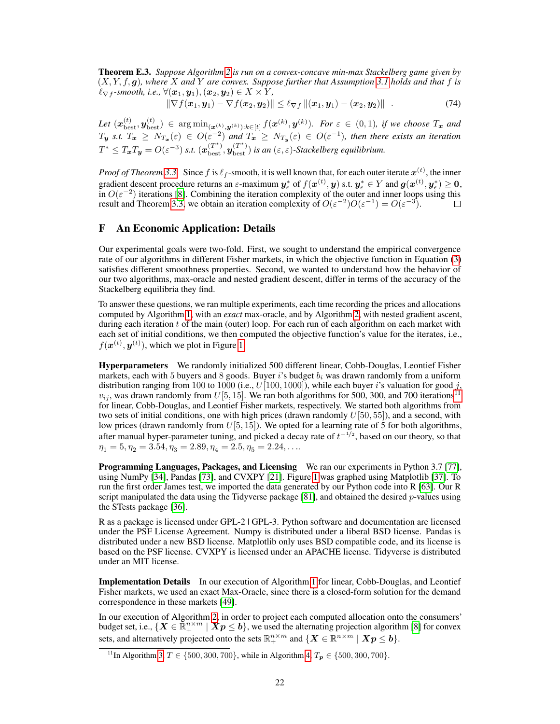Theorem E.3. *Suppose Algorithm [2](#page-16-0) is run on a convex-concave min-max Stackelberg game given by* (X, Y, f, g)*, where* X *and* Y *are convex. Suppose further that Assumption [3.1](#page-4-0) holds and that* f *is*  $\ell_{\nabla f}$ -smooth, i.e.,  $\forall$  $(\boldsymbol{x}_1, \boldsymbol{y}_1), (\boldsymbol{x}_2, \boldsymbol{y}_2) \in X \times Y$ ,

 $\|\nabla f(x_1, y_1) - \nabla f(x_2, y_2)\| \leq \ell_{\nabla f} ||(x_1, y_1) - (x_2, y_2)||$  . (74)

 $Let\;(\boldsymbol{x}_{\text{best}}^{(t)},\boldsymbol{y}_{\text{best}}^{(t)})\;\in\; \argmin_{(\boldsymbol{x}^{(k)},\boldsymbol{y}^{(k)}) : k \in [t]} f(\boldsymbol{x}^{(k)},\boldsymbol{y}^{(k)}). \;\; For\; \varepsilon \;\in\; (0,1), \;\textit{if we choose} \; T_{\boldsymbol{x}} \;\textit{and}$  $T_{y}$  *s.t.*  $T_{x} \geq N_{T_{x}}(\varepsilon) \in O(\varepsilon^{-2})$  and  $T_{x} \geq N_{T_{y}}(\varepsilon) \in O(\varepsilon^{-1})$ , then there exists an iteration  $T^* \leq T_x T_y = O(\varepsilon^{-3})$  s.t.  $(x_{\text{best}}^{(T^*)}, y_{\text{best}}^{(T^*)})$  is an  $(\varepsilon, \varepsilon)$ -Stackelberg equilibrium.

*Proof of Theorem [3.3.](#page-5-3)* Since f is  $\ell_f$ -smooth, it is well known that, for each outer iterate  $x^{(t)}$ , the inner gradient descent procedure returns an  $\varepsilon$ -maximum  $y_\epsilon^*$  of  $f(x^{(t)}, y)$  s.t.  $y_\epsilon^* \in Y$  and  $g(x^{(t)}, y_\epsilon^*) \ge 0$ , in  $O(\varepsilon^{-2})$  iterations [\[8\]](#page-9-9). Combining the iteration complexity of the outer and inner loops using this result and Theorem [3.3,](#page-5-3) we obtain an iteration complexity of  $O(\varepsilon^{-2})O(\varepsilon^{-1}) = O(\varepsilon^{-3})$ .  $\Box$ 

## <span id="page-21-0"></span>F An Economic Application: Details

Our experimental goals were two-fold. First, we sought to understand the empirical convergence rate of our algorithms in different Fisher markets, in which the objective function in Equation [\(3\)](#page-6-1) satisfies different smoothness properties. Second, we wanted to understand how the behavior of our two algorithms, max-oracle and nested gradient descent, differ in terms of the accuracy of the Stackelberg equilibria they find.

To answer these questions, we ran multiple experiments, each time recording the prices and allocations computed by Algorithm [1,](#page-5-0) with an *exact* max-oracle, and by Algorithm [2,](#page-16-0) with nested gradient ascent, during each iteration  $t$  of the main (outer) loop. For each run of each algorithm on each market with each set of initial conditions, we then computed the objective function's value for the iterates, i.e.,  $f(\boldsymbol{x}^{(t)}, \boldsymbol{y}^{(t)})$ , which we plot in Figure [1.](#page-8-0)

Hyperparameters We randomly initialized 500 different linear, Cobb-Douglas, Leontief Fisher markets, each with 5 buyers and 8 goods. Buyer i's budget  $b_i$  was drawn randomly from a uniform distribution ranging from 100 to 1000 (i.e.,  $U[100, 1000]$ ), while each buyer i's valuation for good j,  $v_{ij}$ , was drawn randomly from  $U[5, 15]$ . We ran both algorithms for 500, 300, and 700 iterations<sup>[11](#page-21-1)</sup> for linear, Cobb-Douglas, and Leontief Fisher markets, respectively. We started both algorithms from two sets of initial conditions, one with high prices (drawn randomly  $U[50, 55]$ ), and a second, with low prices (drawn randomly from  $U[5, 15]$ ). We opted for a learning rate of 5 for both algorithms, after manual hyper-parameter tuning, and picked a decay rate of  $t^{-1/2}$ , based on our theory, so that  $\eta_1 = 5, \eta_2 = 3.54, \eta_3 = 2.89, \eta_4 = 2.5, \eta_5 = 2.24, \dots$ 

Programming Languages, Packages, and Licensing We ran our experiments in Python 3.7 [\[77\]](#page-12-10), using NumPy [\[34\]](#page-10-16), Pandas [\[73\]](#page-12-11), and CVXPY [\[21\]](#page-10-17). Figure [1](#page-8-0) was graphed using Matplotlib [\[37\]](#page-10-18). To run the first order James test, we imported the data generated by our Python code into R [\[63\]](#page-11-13). Our R script manipulated the data using the Tidyverse package  $[81]$ , and obtained the desired p-values using the STests package [\[36\]](#page-10-14).

R as a package is licensed under GPL-2 | GPL-3. Python software and documentation are licensed under the PSF License Agreement. Numpy is distributed under a liberal BSD license. Pandas is distributed under a new BSD license. Matplotlib only uses BSD compatible code, and its license is based on the PSF license. CVXPY is licensed under an APACHE license. Tidyverse is distributed under an MIT license.

Implementation Details In our execution of Algorithm [1](#page-5-0) for linear, Cobb-Douglas, and Leontief Fisher markets, we used an exact Max-Oracle, since there is a closed-form solution for the demand correspondence in these markets [\[49\]](#page-11-14).

In our execution of Algorithm [2,](#page-16-0) in order to project each computed allocation onto the consumers' budget set, i.e.,  $\{X\in\mathbb{R}_+^{n\times m}\mid Xp\leq b\}$ , we used the alternating projection algorithm [\[8\]](#page-9-9) for convex sets, and alternatively projected onto the sets  $\mathbb{R}^{n\times m}_+$  and  $\{X\in\mathbb{R}^{n\times m}\mid Xp\leq b\}.$ 

<span id="page-21-1"></span><sup>&</sup>lt;sup>11</sup>In Algorithm [3,](#page-22-1)  $T \in \{500, 300, 700\}$ , while in Algorithm [4,](#page-22-2)  $T_p \in \{500, 300, 700\}$ .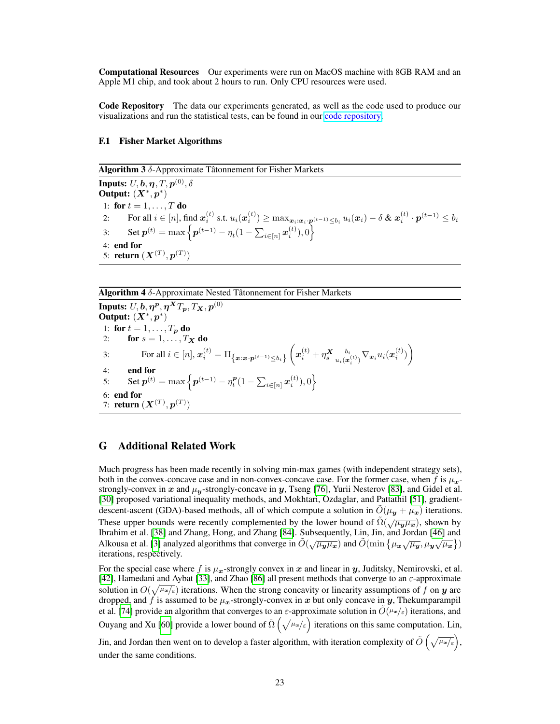Computational Resources Our experiments were run on MacOS machine with 8GB RAM and an Apple M1 chip, and took about 2 hours to run. Only CPU resources were used.

Code Repository The data our experiments generated, as well as the code used to produce our visualizations and run the statistical tests, can be found in our [code repository.](https://github.com/denizalp/min-max-fisher.git)

#### F.1 Fisher Market Algorithms

<span id="page-22-1"></span>Algorithm 3  $\delta$ -Approximate Tâtonnement for Fisher Markets Inputs:  $U, \boldsymbol{b}, \boldsymbol{\eta}, T, \boldsymbol{p}^{(0)}, \delta$ Output:  $(X^*, p^*)$ 1: for  $t = 1, \ldots, T$  do 2: For all  $i \in [n]$ , find  $\boldsymbol{x}_i^{(t)}$  s.t.  $u_i(\boldsymbol{x}_i^{(t)}) \geq \max_{\boldsymbol{x}_i:\boldsymbol{x}_i\cdot\boldsymbol{p}^{(t-1)}\leq b_i} u_i(\boldsymbol{x}_i)-\delta$  &  $\boldsymbol{x}_i^{(t)}\cdot\boldsymbol{p}^{(t-1)}\leq b_i$ 3: Set  $p^{(t)} = \max \left\{ p^{(t-1)} - \eta_t(1 - \sum_{i \in [n]} x_i^{(t)}), 0 \right\}$ 4: end for 5: **return**  $(X^{(T)}, p^{(T)})$ 

#### <span id="page-22-2"></span>Algorithm 4 δ-Approximate Nested Tâtonnement for Fisher Markets

Inputs:  $U, \boldsymbol{b}, \boldsymbol{\eta^p}, \boldsymbol{\eta^X T_p}, T_{\boldsymbol{X}}, p^{(0)}$ Output:  $(X^*, p^*)$ 1: for  $t = 1, \ldots, T_p$  do 2: for  $s = 1, \ldots, T_X$  do 3: For all  $i \in [n], x_i^{(t)} = \prod_{\{x : x \cdot p^{(t-1)} \le b_i\}} \left( x_i^{(t)} + \eta_s^{\mathbf{X}} \frac{b_i}{u_i(x)} \right)$  $\frac{b_i}{u_i(\boldsymbol{x}^{(t)}_i)} \nabla_{\boldsymbol{x}_i} u_i(\boldsymbol{x}^{(t)}_i) \bigg)$ 4: end for 5: Set  $p^{(t)} = \max \left\{ p^{(t-1)} - \eta_t^{\bm{p}} (1 - \sum_{i \in [n]} \bm{x}_i^{(t)}), 0 \right\}$ 6: end for 7: **return**  $(X^{(T)}, p^{(T)})$ 

#### <span id="page-22-0"></span>G Additional Related Work

Much progress has been made recently in solving min-max games (with independent strategy sets), both in the convex-concave case and in non-convex-concave case. For the former case, when f is  $\mu_{x}$ strongly-convex in x and  $\mu_{\mathbf{v}}$ -strongly-concave in y, Tseng [\[76\]](#page-12-13), Yurii Nesterov [\[83\]](#page-12-14), and Gidel et al. [\[30\]](#page-10-19) proposed variational inequality methods, and Mokhtari, Ozdaglar, and Pattathil [\[51\]](#page-11-15), gradientdescent-ascent (GDA)-based methods, all of which compute a solution in  $O(\mu_y + \mu_x)$  iterations. These upper bounds were recently complemented by the lower bound of  $\tilde{\Omega}(\sqrt{\mu_y \mu_x})$ , shown by Ibrahim et al. [\[38\]](#page-10-20) and Zhang, Hong, and Zhang [\[84\]](#page-12-15). Subsequently, Lin, Jin, and Jordan [\[46\]](#page-11-16) and Alkousa et al. [\[3\]](#page-9-16) analyzed algorithms that converge in  $\tilde{O}(\sqrt{\mu_y \mu_x})$  and  $\tilde{O}(\min{\{\mu_x \sqrt{\mu_y}, \mu_y \sqrt{\mu_x}\}})$ iterations, respectively.

For the special case where f is  $\mu_x$ -strongly convex in x and linear in y, Juditsky, Nemirovski, et al. [\[42\]](#page-11-17), Hamedani and Aybat [\[33\]](#page-10-21), and Zhao [\[86\]](#page-12-16) all present methods that converge to an  $\varepsilon$ -approximate solution in  $O(\sqrt{\mu_x/\varepsilon})$  iterations. When the strong concavity or linearity assumptions of f on y are dropped, and f is assumed to be  $\mu_x$ -strongly-convex in x but only concave in y, Thekumparampil et al. [\[74\]](#page-12-17) provide an algorithm that converges to an  $\varepsilon$ -approximate solution in  $O(\mu_{\alpha}/\varepsilon)$  iterations, and Ouyang and Xu [\[60\]](#page-11-18) provide a lower bound of  $\tilde{\Omega}(\sqrt{\mu_x/\varepsilon})$  iterations on this same computation. Lin,

Jin, and Jordan then went on to develop a faster algorithm, with iteration complexity of  $\tilde{O}\left(\sqrt{\mu_x/\varepsilon}\right)$ , under the same conditions.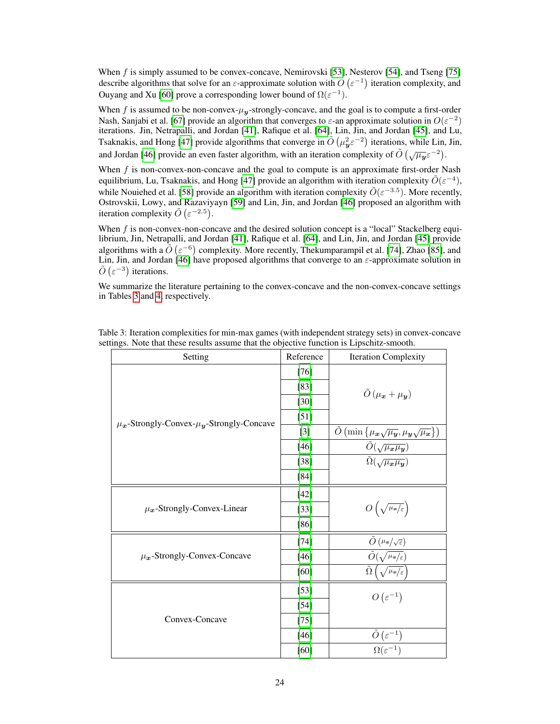When f is simply assumed to be convex-concave, Nemirovski [\[53\]](#page-11-19), Nesterov [\[54\]](#page-11-20), and Tseng [\[75\]](#page-12-18) describe algorithms that solve for an  $\varepsilon$ -approximate solution with  $\tilde{O}(\varepsilon^{-1})$  iteration complexity, and Ouyang and Xu [\[60\]](#page-11-18) prove a corresponding lower bound of  $\Omega(\varepsilon^{-1})$ .

When f is assumed to be non-convex- $\mu_{\nu}$ -strongly-concave, and the goal is to compute a first-order Nash, Sanjabi et al. [\[67\]](#page-12-19) provide an algorithm that converges to  $\varepsilon$ -an approximate solution in  $O(\varepsilon^{-2})$ iterations. Jin, Netrapalli, and Jordan [\[41\]](#page-10-2), Rafique et al. [\[64\]](#page-11-21), Lin, Jin, and Jordan [\[45\]](#page-11-8), and Lu, Tsaknakis, and Hong [\[47\]](#page-11-22) provide algorithms that converge in  $\tilde{O}(\mu_y^2 \varepsilon^{-2})$  iterations, while Lin, Jin, and Jordan [\[46\]](#page-11-16) provide an even faster algorithm, with an iteration complexity of  $\tilde{O}(\sqrt{\mu_y}\varepsilon^{-2})$ .

When  $f$  is non-convex-non-concave and the goal to compute is an approximate first-order Nash equilibrium, Lu, Tsaknakis, and Hong [\[47\]](#page-11-22) provide an algorithm with iteration complexity  $\tilde{O}(\varepsilon^{-4})$ , while Nouiehed et al. [\[58\]](#page-11-7) provide an algorithm with iteration complexity  $\tilde{O}(\varepsilon^{-3.5})$ . More recently, Ostrovskii, Lowy, and Razaviyayn [\[59\]](#page-11-23) and Lin, Jin, and Jordan [\[46\]](#page-11-16) proposed an algorithm with iteration complexity  $\tilde{O}(\varepsilon^{-2.5})$ .

When f is non-convex-non-concave and the desired solution concept is a "local" Stackelberg equilibrium, Jin, Netrapalli, and Jordan [\[41\]](#page-10-2), Rafique et al. [\[64\]](#page-11-21), and Lin, Jin, and Jordan [\[45\]](#page-11-8) provide algorithms with a  $\tilde{O}(\varepsilon^{-6})$  complexity. More recently, Thekumparampil et al. [\[74\]](#page-12-17), Zhao [\[85\]](#page-12-20), and Lin, Jin, and Jordan [\[46\]](#page-11-16) have proposed algorithms that converge to an  $\varepsilon$ -approximate solution in  $\tilde{O}(\varepsilon^{-3})$  iterations.

We summarize the literature pertaining to the convex-concave and the non-convex-concave settings in Tables [3](#page-23-0) and [4,](#page-24-0) respectively.

| Setting                                                 | Reference | <b>Iteration Complexity</b>                                                                                                                                                                                                                                                                                                |  |
|---------------------------------------------------------|-----------|----------------------------------------------------------------------------------------------------------------------------------------------------------------------------------------------------------------------------------------------------------------------------------------------------------------------------|--|
|                                                         | $[76]$    |                                                                                                                                                                                                                                                                                                                            |  |
|                                                         | $[83]$    | $\tilde{O}(\mu_x + \mu_y)$                                                                                                                                                                                                                                                                                                 |  |
|                                                         | $[30]$    |                                                                                                                                                                                                                                                                                                                            |  |
|                                                         | [51]      |                                                                                                                                                                                                                                                                                                                            |  |
| $\mu_{x}$ -Strongly-Convex- $\mu_{y}$ -Strongly-Concave | $[3]$     | $\frac{\overline{\tilde{O}}\left(\min\left\{\mu_{\boldsymbol{x}}\sqrt{\mu_{\boldsymbol{y}}},\mu_{\boldsymbol{y}}\sqrt{\mu_{\boldsymbol{x}}}\right\}\right)}{\tilde{O}\left(\sqrt{\mu_{\boldsymbol{x}}\mu_{\boldsymbol{y}}}\right)}\ \overline{\tilde{\Omega}\left(\sqrt{\mu_{\boldsymbol{x}}\mu_{\boldsymbol{y}}}\right)}$ |  |
|                                                         | $[46]$    |                                                                                                                                                                                                                                                                                                                            |  |
|                                                         | $[38]$    |                                                                                                                                                                                                                                                                                                                            |  |
|                                                         | $[84]$    |                                                                                                                                                                                                                                                                                                                            |  |
|                                                         | $[42]$    |                                                                                                                                                                                                                                                                                                                            |  |
| $\mu_{x}$ -Strongly-Convex-Linear                       | $[33]$    | $O\left(\sqrt{\mu_{\bm{x}}/\varepsilon}\right)$                                                                                                                                                                                                                                                                            |  |
|                                                         | $[86]$    |                                                                                                                                                                                                                                                                                                                            |  |
|                                                         | $[74]$    | $\tilde{O}\left(\mu_{\boldsymbol{x}}/\sqrt{\varepsilon}\right)$                                                                                                                                                                                                                                                            |  |
| $\mu_{x}$ -Strongly-Convex-Concave                      | $[46]$    | $\overline{\tilde{O}(\sqrt{\mu_{\bm{x}}/\varepsilon})}$                                                                                                                                                                                                                                                                    |  |
|                                                         | [60]      | $\tilde{\Omega}\left(\sqrt{\mu_{\mathbf{z}}/\varepsilon}\right)$                                                                                                                                                                                                                                                           |  |
|                                                         | $[53]$    | $O(\varepsilon^{-1})$                                                                                                                                                                                                                                                                                                      |  |
|                                                         | $[54]$    |                                                                                                                                                                                                                                                                                                                            |  |
| Convex-Concave                                          | $[75]$    |                                                                                                                                                                                                                                                                                                                            |  |
|                                                         | $[46]$    | $\tilde{O}\left(\varepsilon^{-1}\right)$                                                                                                                                                                                                                                                                                   |  |
|                                                         | [60]      | $\overline{\Omega(\varepsilon^{-1})}$                                                                                                                                                                                                                                                                                      |  |

<span id="page-23-0"></span>Table 3: Iteration complexities for min-max games (with independent strategy sets) in convex-concave settings. Note that these results assume that the objective function is Lipschitz-smooth.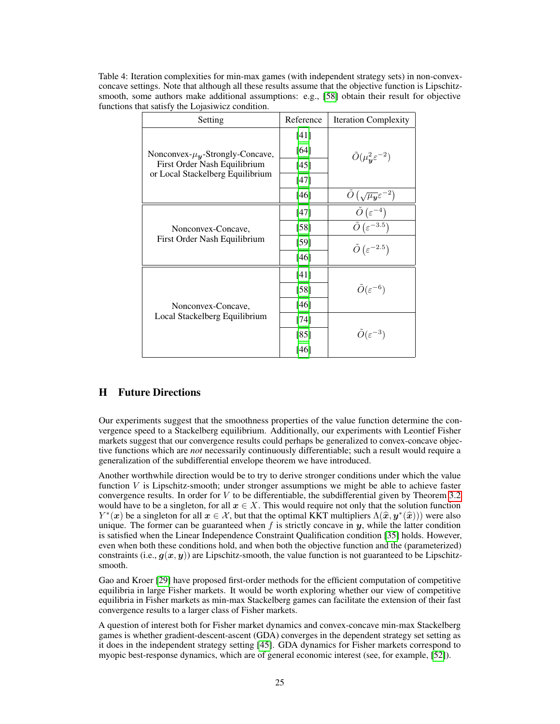<span id="page-24-0"></span>Table 4: Iteration complexities for min-max games (with independent strategy sets) in non-convexconcave settings. Note that although all these results assume that the objective function is Lipschitz-smooth, some authors make additional assumptions: e.g., [\[58\]](#page-11-7) obtain their result for objective functions that satisfy the Lojasiwicz condition.

| Setting                                                                                                     | Reference | <b>Iteration Complexity</b>                                         |
|-------------------------------------------------------------------------------------------------------------|-----------|---------------------------------------------------------------------|
| Nonconvex- $\mu_{y}$ -Strongly-Concave,<br>First Order Nash Equilibrium<br>or Local Stackelberg Equilibrium | $[41]$    |                                                                     |
|                                                                                                             | $[64]$    | $\tilde{O}(\mu_{\nu}^2 \varepsilon^{-2})$                           |
|                                                                                                             | [45]      |                                                                     |
|                                                                                                             | $[47]$    |                                                                     |
|                                                                                                             | $[46]$    | $\tilde{O}\left(\sqrt{\mu_{\boldsymbol{y}}}\varepsilon^{-2}\right)$ |
| Nonconvex-Concave,<br>First Order Nash Equilibrium                                                          | [47]      | $\tilde{O}\left(\varepsilon^{-4}\right)$                            |
|                                                                                                             | $[58]$    | $\tilde{O}(\varepsilon^{-3.5})$                                     |
|                                                                                                             | [59]      | $\tilde{O}(\varepsilon^{-2.5})$                                     |
|                                                                                                             | $[46]$    |                                                                     |
| Nonconvex-Concave,<br>Local Stackelberg Equilibrium                                                         | [41]      |                                                                     |
|                                                                                                             | $[58]$    | $\tilde{O}(\varepsilon^{-6})$                                       |
|                                                                                                             | [46]      |                                                                     |
|                                                                                                             | $[74]$    |                                                                     |
|                                                                                                             | [85]      | $\tilde{O}(\varepsilon^{-3})$                                       |
|                                                                                                             | [46]      |                                                                     |

# H Future Directions

Our experiments suggest that the smoothness properties of the value function determine the convergence speed to a Stackelberg equilibrium. Additionally, our experiments with Leontief Fisher markets suggest that our convergence results could perhaps be generalized to convex-concave objective functions which are *not* necessarily continuously differentiable; such a result would require a generalization of the subdifferential envelope theorem we have introduced.

Another worthwhile direction would be to try to derive stronger conditions under which the value function  $V$  is Lipschitz-smooth; under stronger assumptions we might be able to achieve faster convergence results. In order for V to be differentiable, the subdifferential given by Theorem [3.2](#page-4-1) would have to be a singleton, for all  $x \in X$ . This would require not only that the solution function  $Y^*(x)$  be a singleton for all  $x \in \mathcal{X}$ , but that the optimal KKT multipliers  $\Lambda(\hat{x}, y^*(\hat{x}))$  were also<br>unique. The former can be guaranteed when f is strictly concave in u, while the latter condition unique. The former can be guaranteed when  $f$  is strictly concave in  $y$ , while the latter condition is satisfied when the Linear Independence Constraint Qualification condition [\[35\]](#page-10-22) holds. However, even when both these conditions hold, and when both the objective function and the (parameterized) constraints (i.e.,  $q(x, y)$ ) are Lipschitz-smooth, the value function is not guaranteed to be Lipschitzsmooth.

Gao and Kroer [\[29\]](#page-10-11) have proposed first-order methods for the efficient computation of competitive equilibria in large Fisher markets. It would be worth exploring whether our view of competitive equilibria in Fisher markets as min-max Stackelberg games can facilitate the extension of their fast convergence results to a larger class of Fisher markets.

A question of interest both for Fisher market dynamics and convex-concave min-max Stackelberg games is whether gradient-descent-ascent (GDA) converges in the dependent strategy set setting as it does in the independent strategy setting [\[45\]](#page-11-8). GDA dynamics for Fisher markets correspond to myopic best-response dynamics, which are of general economic interest (see, for example, [\[52\]](#page-11-9)).